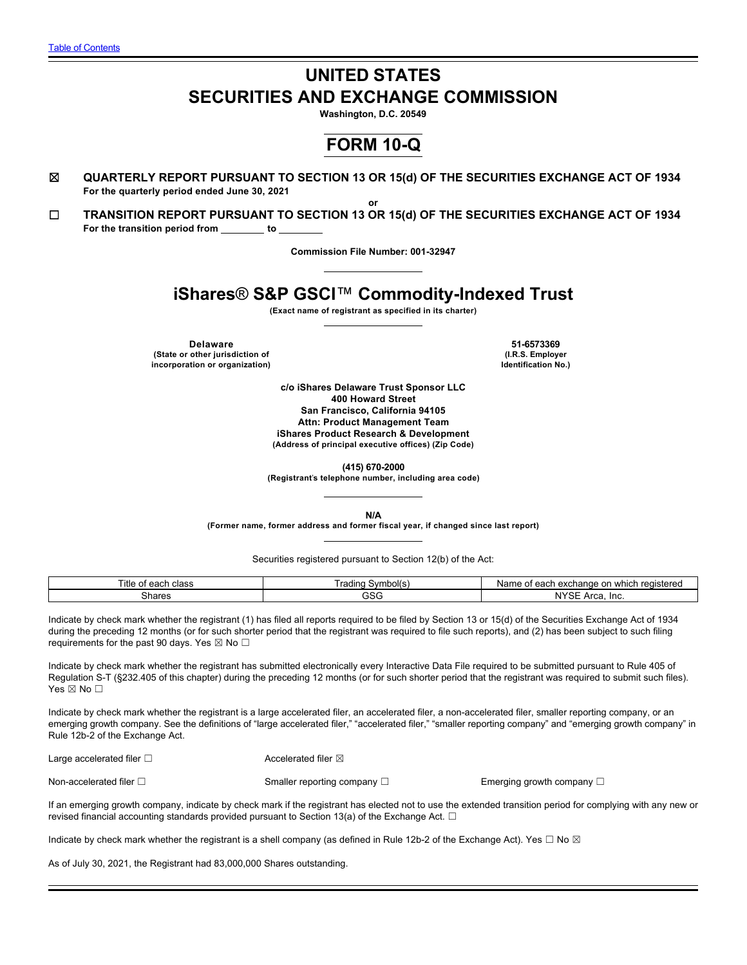# **UNITED STATES SECURITIES AND EXCHANGE COMMISSION**

**Washington, D.C. 20549**

# **FORM 10-Q**

- ☒ **QUARTERLY REPORT PURSUANT TO SECTION 13 OR 15(d) OF THE SECURITIES EXCHANGE ACT OF 1934 For the quarterly period ended June 30, 2021**
- **or** ☐ **TRANSITION REPORT PURSUANT TO SECTION 13 OR 15(d) OF THE SECURITIES EXCHANGE ACT OF 1934** For the transition period from to

**Commission File Number: 001-32947**

# **iShares**® **S&P GSCI**™ **Commodity-Indexed Trust**

**(Exact name of registrant as specified in its charter)**

**Delaware 51-6573369 (State or other jurisdiction of (I.R.S. Employer incorporation or organization)** 

**c/o iShares Delaware Trust Sponsor LLC 400 Howard Street San Francisco, California 94105 Attn: Product Management Team iShares Product Research & Development (Address of principal executive offices) (Zip Code)**

**(415) 670-2000**

**(Registrant**'**s telephone number, including area code)**

**N/A**

**(Former name, former address and former fiscal year, if changed since last report)**

Securities registered pursuant to Section 12(b) of the Act:

| Title<br>ooch<br>ı class<br>cau<br>. . | irodinc<br>Symbol'<br>'no<br>ı ı au<br>. . | ∧lom<br>or<br>registered<br>hange<br>exch<br>which<br>$\sim$<br>۱d<br>Gaul<br>. |
|----------------------------------------|--------------------------------------------|---------------------------------------------------------------------------------|
| hares:                                 | $\sim$<br>نادد                             | $\overline{\phantom{a}}$<br>In<br>"r<br>N<br>…<br>va                            |

Indicate by check mark whether the registrant (1) has filed all reports required to be filed by Section 13 or 15(d) of the Securities Exchange Act of 1934 during the preceding 12 months (or for such shorter period that the registrant was required to file such reports), and (2) has been subject to such filing requirements for the past 90 days. Yes  $\boxtimes$  No  $\Box$ 

Indicate by check mark whether the registrant has submitted electronically every Interactive Data File required to be submitted pursuant to Rule 405 of Regulation S-T (§232.405 of this chapter) during the preceding 12 months (or for such shorter period that the registrant was required to submit such files). Yes ⊠ No □

Indicate by check mark whether the registrant is a large accelerated filer, an accelerated filer, a non-accelerated filer, smaller reporting company, or an emerging growth company. See the definitions of "large accelerated filer," "accelerated filer," "smaller reporting company" and "emerging growth company" in Rule 12b-2 of the Exchange Act.

Large accelerated filer □ **and the set of the set of the Secondary Accelerated filer** ⊠

Non-accelerated filer □ state of the Smaller reporting company □ state of the Emerging growth company □

If an emerging growth company, indicate by check mark if the registrant has elected not to use the extended transition period for complying with any new or revised financial accounting standards provided pursuant to Section 13(a) of the Exchange Act.  $\Box$ 

Indicate by check mark whether the registrant is a shell company (as defined in Rule 12b-2 of the Exchange Act). Yes  $\Box$  No  $\boxtimes$ 

As of July 30, 2021, the Registrant had 83,000,000 Shares outstanding.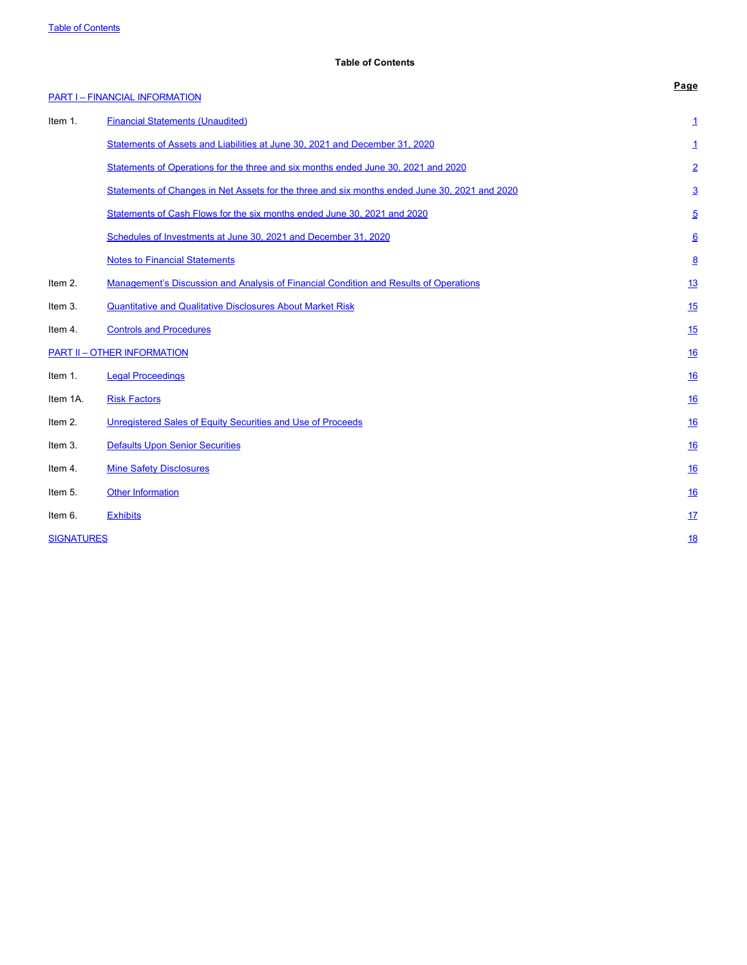# <span id="page-1-0"></span>**Table of Contents**

|                   | <b>PART I - FINANCIAL INFORMATION</b>                                                         | Page            |
|-------------------|-----------------------------------------------------------------------------------------------|-----------------|
| Item 1.           | <b>Financial Statements (Unaudited)</b>                                                       | <u>1</u>        |
|                   | Statements of Assets and Liabilities at June 30, 2021 and December 31, 2020                   | 1               |
|                   | Statements of Operations for the three and six months ended June 30, 2021 and 2020            | $\overline{2}$  |
|                   | Statements of Changes in Net Assets for the three and six months ended June 30, 2021 and 2020 | $\overline{3}$  |
|                   | Statements of Cash Flows for the six months ended June 30, 2021 and 2020                      | $\overline{5}$  |
|                   | Schedules of Investments at June 30, 2021 and December 31, 2020                               | $\underline{6}$ |
|                   | <b>Notes to Financial Statements</b>                                                          | $\underline{8}$ |
| Item 2.           | Management's Discussion and Analysis of Financial Condition and Results of Operations         | 13              |
| Item 3.           | <b>Quantitative and Qualitative Disclosures About Market Risk</b>                             | 15              |
| Item 4.           | <b>Controls and Procedures</b>                                                                | 15              |
|                   | <b>PART II - OTHER INFORMATION</b>                                                            | <u>16</u>       |
| Item 1.           | <b>Legal Proceedings</b>                                                                      | 16              |
| Item 1A.          | <b>Risk Factors</b>                                                                           | 16              |
| Item 2.           | Unregistered Sales of Equity Securities and Use of Proceeds                                   | <u>16</u>       |
| Item 3.           | <b>Defaults Upon Senior Securities</b>                                                        | <u>16</u>       |
| Item 4.           | <b>Mine Safety Disclosures</b>                                                                | 16              |
| Item 5.           | <b>Other Information</b>                                                                      | <u>16</u>       |
| Item 6.           | <b>Exhibits</b>                                                                               | 17              |
| <b>SIGNATURES</b> |                                                                                               | <u>18</u>       |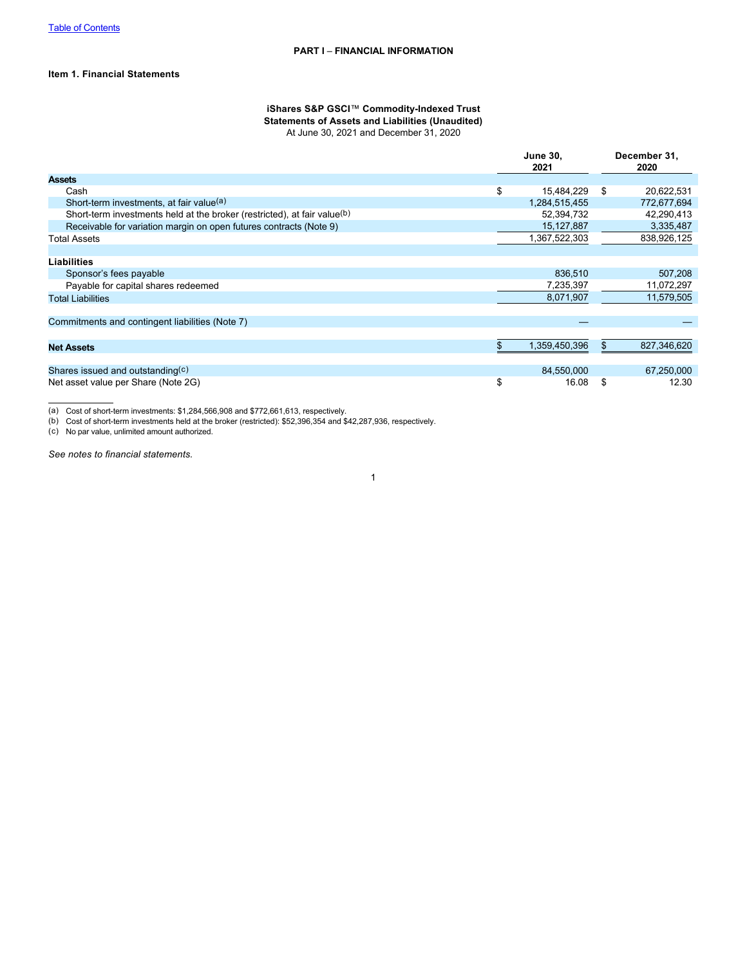# **Item 1. Financial Statements**

# <span id="page-2-0"></span>**iShares S&P GSCI**™ **Commodity-Indexed Trust Statements of Assets and Liabilities (Unaudited)**

At June 30, 2021 and December 31, 2020

|                                                                          | <b>June 30.</b><br>2021 | December 31,<br>2020 |
|--------------------------------------------------------------------------|-------------------------|----------------------|
| <b>Assets</b>                                                            |                         |                      |
| Cash                                                                     | \$<br>15,484,229        | \$<br>20,622,531     |
| Short-term investments, at fair value(a)                                 | 1,284,515,455           | 772,677,694          |
| Short-term investments held at the broker (restricted), at fair value(b) | 52,394,732              | 42,290,413           |
| Receivable for variation margin on open futures contracts (Note 9)       | 15, 127, 887            | 3,335,487            |
| Total Assets                                                             | 1,367,522,303           | 838,926,125          |
|                                                                          |                         |                      |
| <b>Liabilities</b>                                                       |                         |                      |
| Sponsor's fees payable                                                   | 836,510                 | 507,208              |
| Payable for capital shares redeemed                                      | 7,235,397               | 11,072,297           |
| <b>Total Liabilities</b>                                                 | 8,071,907               | 11,579,505           |
|                                                                          |                         |                      |
| Commitments and contingent liabilities (Note 7)                          |                         |                      |
|                                                                          |                         |                      |
| <b>Net Assets</b>                                                        | 1,359,450,396           | \$<br>827,346,620    |
|                                                                          |                         |                      |
| Shares issued and outstanding $(c)$                                      | 84,550,000              | 67,250,000           |
| Net asset value per Share (Note 2G)                                      | \$<br>16.08             | \$<br>12.30          |

(a) Cost of short-term investments: \$1,284,566,908 and \$772,661,613, respectively.

(b) Cost of short-term investments held at the broker (restricted): \$52,396,354 and \$42,287,936, respectively.

(c) No par value, unlimited amount authorized.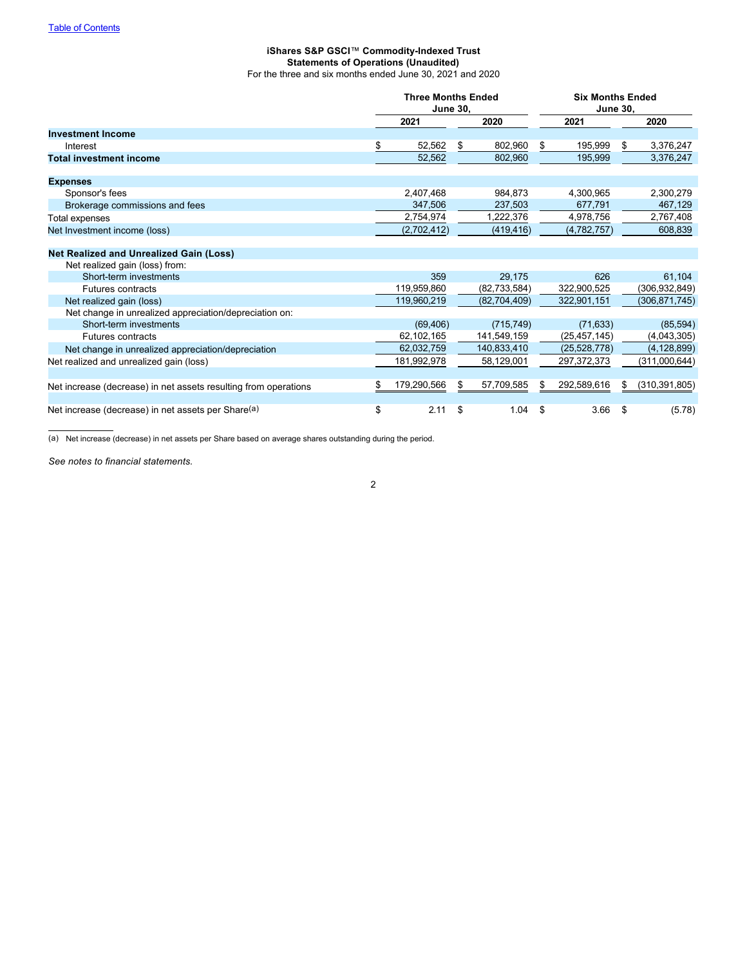# <span id="page-3-0"></span>**iShares S&P GSCI**™ **Commodity-Indexed Trust Statements of Operations (Unaudited)** For the three and six months ended June 30, 2021 and 2020

|                                                                                  |    | <b>Three Months Ended</b><br><b>June 30,</b> |    |                | <b>Six Months Ended</b><br><b>June 30,</b> |                |    |                 |
|----------------------------------------------------------------------------------|----|----------------------------------------------|----|----------------|--------------------------------------------|----------------|----|-----------------|
|                                                                                  |    | 2021                                         |    | 2020           |                                            | 2021           |    | 2020            |
| <b>Investment Income</b>                                                         |    |                                              |    |                |                                            |                |    |                 |
| Interest                                                                         | \$ | 52,562                                       | \$ | 802,960        | \$                                         | 195,999        | \$ | 3,376,247       |
| <b>Total investment income</b>                                                   |    | 52,562                                       |    | 802,960        |                                            | 195,999        |    | 3,376,247       |
| <b>Expenses</b>                                                                  |    |                                              |    |                |                                            |                |    |                 |
| Sponsor's fees                                                                   |    | 2,407,468                                    |    | 984.873        |                                            | 4.300.965      |    | 2,300,279       |
| Brokerage commissions and fees                                                   |    | 347,506                                      |    | 237,503        |                                            | 677,791        |    | 467,129         |
| Total expenses                                                                   |    | 2,754,974                                    |    | 1,222,376      |                                            | 4,978,756      |    | 2,767,408       |
| Net Investment income (loss)                                                     |    | (2,702,412)                                  |    | (419, 416)     |                                            | (4,782,757)    |    | 608,839         |
| <b>Net Realized and Unrealized Gain (Loss)</b><br>Net realized gain (loss) from: |    |                                              |    |                |                                            |                |    |                 |
| Short-term investments                                                           |    | 359                                          |    | 29.175         |                                            | 626            |    | 61,104          |
| <b>Futures contracts</b>                                                         |    | 119,959,860                                  |    | (82, 733, 584) |                                            | 322,900,525    |    | (306,932,849)   |
| Net realized gain (loss)                                                         |    | 119,960,219                                  |    | (82,704,409)   |                                            | 322,901,151    |    | (306,871,745)   |
| Net change in unrealized appreciation/depreciation on:                           |    |                                              |    |                |                                            |                |    |                 |
| Short-term investments                                                           |    | (69, 406)                                    |    | (715, 749)     |                                            | (71, 633)      |    | (85, 594)       |
| <b>Futures contracts</b>                                                         |    | 62,102,165                                   |    | 141,549,159    |                                            | (25, 457, 145) |    | (4,043,305)     |
| Net change in unrealized appreciation/depreciation                               |    | 62,032,759                                   |    | 140,833,410    |                                            | (25, 528, 778) |    | (4, 128, 899)   |
| Net realized and unrealized gain (loss)                                          |    | 181,992,978                                  |    | 58,129,001     |                                            | 297, 372, 373  |    | (311,000,644)   |
| Net increase (decrease) in net assets resulting from operations                  | S  | 179,290,566                                  | \$ | 57,709,585     | \$                                         | 292,589,616    | \$ | (310, 391, 805) |
| Net increase (decrease) in net assets per Share(a)                               | \$ | 2.11                                         | \$ | 1.04           | \$                                         | 3.66           | \$ | (5.78)          |

(a) Net increase (decrease) in net assets per Share based on average shares outstanding during the period.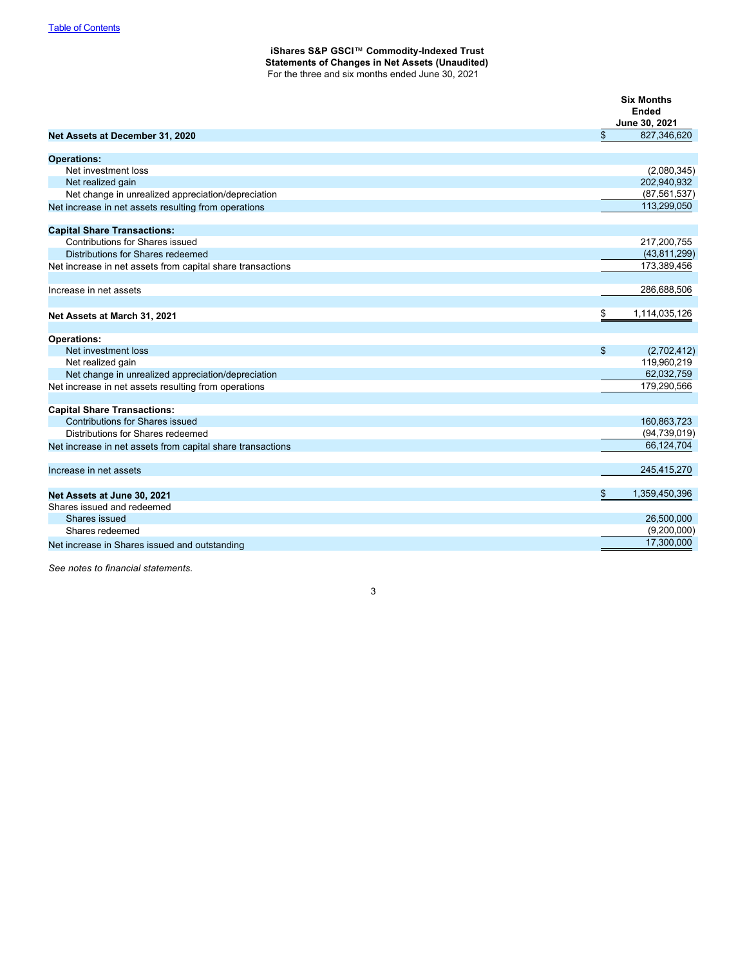# <span id="page-4-0"></span>**iShares S&P GSCI**™ **Commodity-Indexed Trust Statements of Changes in Net Assets (Unaudited)** For the three and six months ended June 30, 2021

|                                                            | <b>Six Months</b><br><b>Ended</b><br>June 30, 2021 |
|------------------------------------------------------------|----------------------------------------------------|
| Net Assets at December 31, 2020                            | \$<br>827,346,620                                  |
| <b>Operations:</b>                                         |                                                    |
| Net investment loss                                        | (2,080,345)                                        |
| Net realized gain                                          | 202,940,932                                        |
| Net change in unrealized appreciation/depreciation         | (87, 561, 537)                                     |
| Net increase in net assets resulting from operations       | 113,299,050                                        |
| <b>Capital Share Transactions:</b>                         |                                                    |
| Contributions for Shares issued                            | 217,200,755                                        |
| Distributions for Shares redeemed                          | (43, 811, 299)                                     |
| Net increase in net assets from capital share transactions | 173,389,456                                        |
| Increase in net assets                                     | 286,688,506                                        |
| Net Assets at March 31, 2021                               | \$<br>1,114,035,126                                |
| <b>Operations:</b>                                         |                                                    |
| Net investment loss                                        | \$<br>(2,702,412)                                  |
| Net realized gain                                          | 119,960,219                                        |
| Net change in unrealized appreciation/depreciation         | 62,032,759                                         |
| Net increase in net assets resulting from operations       | 179,290,566                                        |
| <b>Capital Share Transactions:</b>                         |                                                    |
| <b>Contributions for Shares issued</b>                     | 160,863,723                                        |
| Distributions for Shares redeemed                          | (94, 739, 019)                                     |
| Net increase in net assets from capital share transactions | 66,124,704                                         |
| Increase in net assets                                     | 245,415,270                                        |
| Net Assets at June 30, 2021                                | \$<br>1,359,450,396                                |
| Shares issued and redeemed                                 |                                                    |
| Shares issued                                              | 26,500,000                                         |
| Shares redeemed                                            | (9,200,000)                                        |
| Net increase in Shares issued and outstanding              | 17,300,000                                         |

3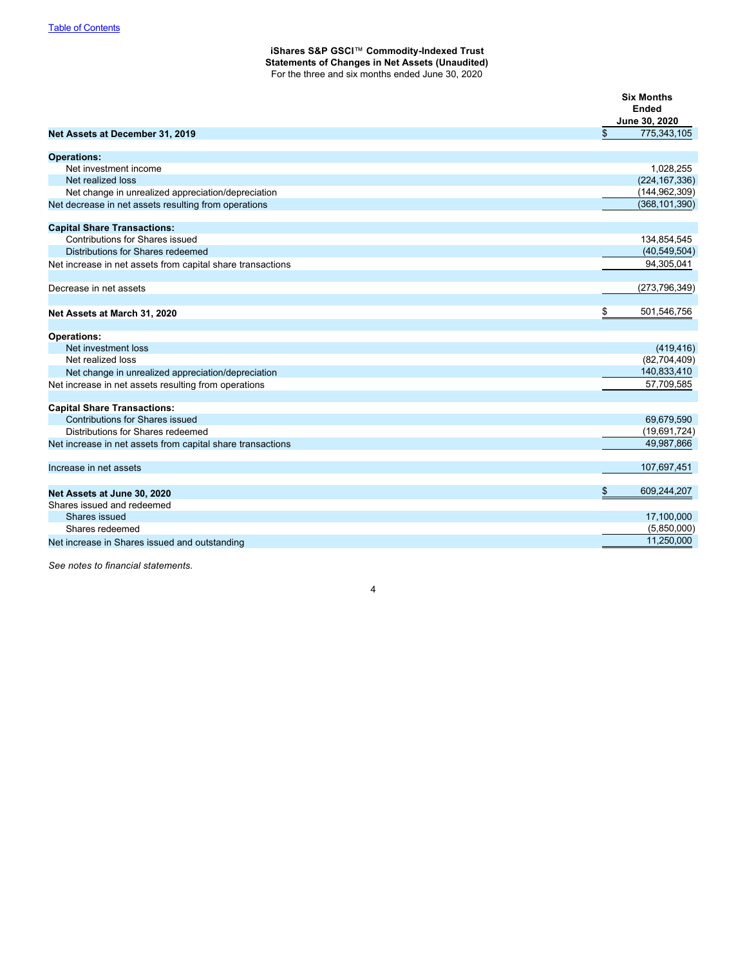# **iShares S&P GSCI**™ **Commodity-Indexed Trust Statements of Changes in Net Assets (Unaudited)** For the three and six months ended June 30, 2020

|                                                            | <b>Six Months</b><br><b>Ended</b><br>June 30, 2020 |
|------------------------------------------------------------|----------------------------------------------------|
| Net Assets at December 31, 2019                            | \$<br>775,343,105                                  |
| <b>Operations:</b>                                         |                                                    |
| Net investment income                                      | 1,028,255                                          |
| Net realized loss                                          | (224, 167, 336)                                    |
| Net change in unrealized appreciation/depreciation         | (144, 962, 309)                                    |
| Net decrease in net assets resulting from operations       | (368, 101, 390)                                    |
| <b>Capital Share Transactions:</b>                         |                                                    |
| Contributions for Shares issued                            | 134,854,545                                        |
| Distributions for Shares redeemed                          | (40, 549, 504)                                     |
| Net increase in net assets from capital share transactions | 94,305,041                                         |
| Decrease in net assets                                     | (273,796,349)                                      |
| Net Assets at March 31, 2020                               | \$<br>501,546,756                                  |
| <b>Operations:</b>                                         |                                                    |
| Net investment loss                                        | (419, 416)                                         |
| Net realized loss                                          | (82,704,409)                                       |
| Net change in unrealized appreciation/depreciation         | 140,833,410                                        |
| Net increase in net assets resulting from operations       | 57,709,585                                         |
| <b>Capital Share Transactions:</b>                         |                                                    |
| <b>Contributions for Shares issued</b>                     | 69,679,590                                         |
| Distributions for Shares redeemed                          | (19,691,724)                                       |
| Net increase in net assets from capital share transactions | 49,987,866                                         |
| Increase in net assets                                     | 107,697,451                                        |
| Net Assets at June 30, 2020                                | \$<br>609,244,207                                  |
| Shares issued and redeemed                                 |                                                    |
| Shares issued                                              | 17,100,000                                         |
| Shares redeemed                                            | (5,850,000)                                        |
| Net increase in Shares issued and outstanding              | 11,250,000                                         |

4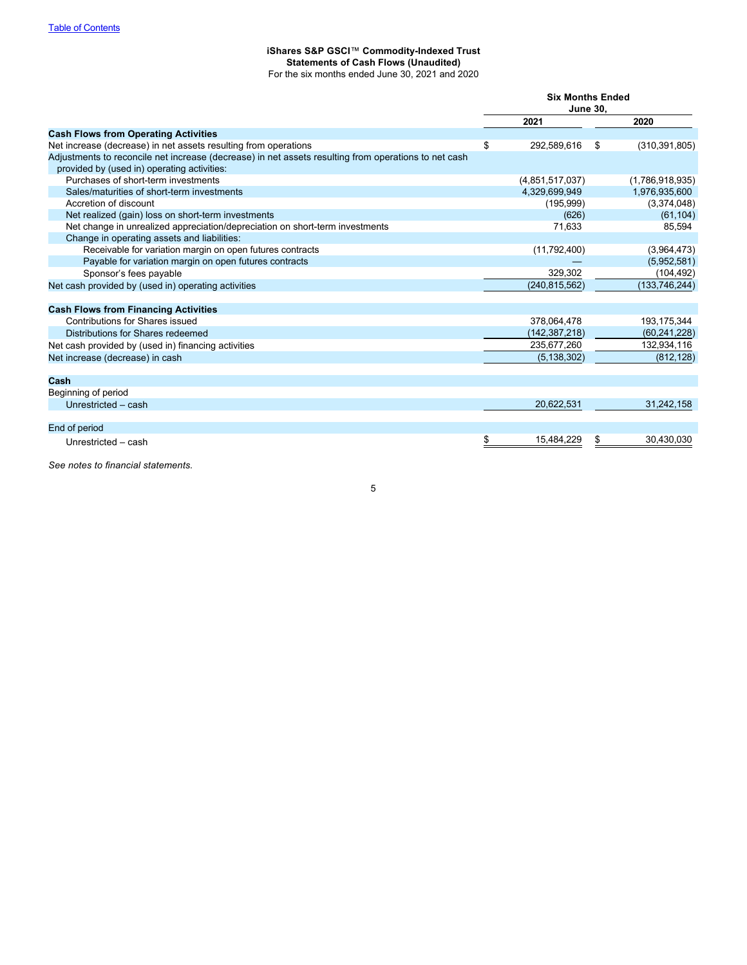#### <span id="page-6-0"></span>**iShares S&P GSCI**™ **Commodity-Indexed Trust Statements of Cash Flows (Unaudited)**

For the six months ended June 30, 2021 and 2020

|                                                                                                      | <b>Six Months Ended</b><br><b>June 30,</b> |   |                 |  |  |
|------------------------------------------------------------------------------------------------------|--------------------------------------------|---|-----------------|--|--|
|                                                                                                      |                                            |   |                 |  |  |
|                                                                                                      | 2021                                       |   | 2020            |  |  |
| <b>Cash Flows from Operating Activities</b>                                                          |                                            |   |                 |  |  |
| Net increase (decrease) in net assets resulting from operations                                      | \$<br>292,589,616                          | S | (310, 391, 805) |  |  |
| Adjustments to reconcile net increase (decrease) in net assets resulting from operations to net cash |                                            |   |                 |  |  |
| provided by (used in) operating activities:                                                          |                                            |   |                 |  |  |
| Purchases of short-term investments                                                                  | (4,851,517,037)                            |   | (1,786,918,935) |  |  |
| Sales/maturities of short-term investments                                                           | 4,329,699,949                              |   | 1,976,935,600   |  |  |
| Accretion of discount                                                                                | (195, 999)                                 |   | (3,374,048)     |  |  |
| Net realized (gain) loss on short-term investments                                                   | (626)                                      |   | (61, 104)       |  |  |
| Net change in unrealized appreciation/depreciation on short-term investments                         | 71,633                                     |   | 85,594          |  |  |
| Change in operating assets and liabilities:                                                          |                                            |   |                 |  |  |
| Receivable for variation margin on open futures contracts                                            | (11,792,400)                               |   | (3,964,473)     |  |  |
| Payable for variation margin on open futures contracts                                               |                                            |   | (5,952,581)     |  |  |
| Sponsor's fees payable                                                                               | 329,302                                    |   | (104, 492)      |  |  |
| Net cash provided by (used in) operating activities                                                  | (240, 815, 562)                            |   | (133, 746, 244) |  |  |
|                                                                                                      |                                            |   |                 |  |  |
| <b>Cash Flows from Financing Activities</b>                                                          |                                            |   |                 |  |  |
| Contributions for Shares issued                                                                      | 378,064,478                                |   | 193, 175, 344   |  |  |
| Distributions for Shares redeemed                                                                    | (142,387,218)                              |   | (60, 241, 228)  |  |  |
| Net cash provided by (used in) financing activities                                                  | 235,677,260                                |   | 132,934,116     |  |  |
| Net increase (decrease) in cash                                                                      | (5, 138, 302)                              |   | (812, 128)      |  |  |
|                                                                                                      |                                            |   |                 |  |  |
| Cash                                                                                                 |                                            |   |                 |  |  |
| Beginning of period                                                                                  |                                            |   |                 |  |  |
| Unrestricted - cash                                                                                  | 20,622,531                                 |   | 31,242,158      |  |  |
|                                                                                                      |                                            |   |                 |  |  |
| End of period                                                                                        |                                            |   |                 |  |  |
| Unrestricted - cash                                                                                  | \$<br>15.484.229                           | S | 30,430,030      |  |  |
|                                                                                                      |                                            |   |                 |  |  |

*See notes to financial statements.*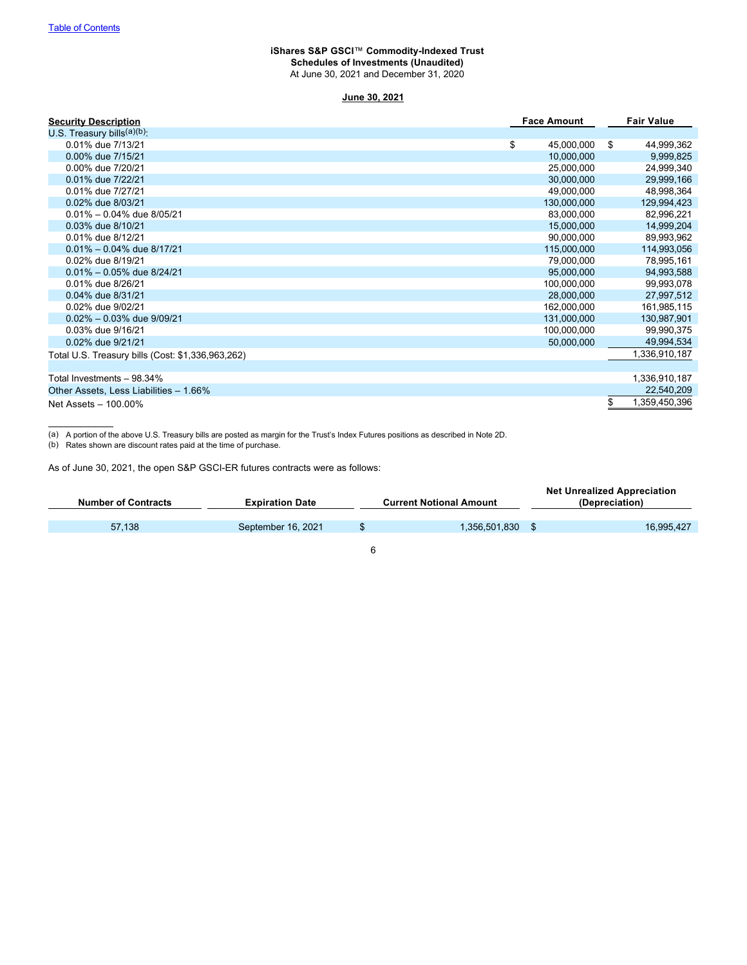# <span id="page-7-0"></span>**iShares S&P GSCI**™ **Commodity-Indexed Trust Schedules of Investments (Unaudited)** At June 30, 2021 and December 31, 2020

# **June 30, 2021**

| <b>Security Description</b>                       | <b>Face Amount</b> | <b>Fair Value</b>   |
|---------------------------------------------------|--------------------|---------------------|
| U.S. Treasury bills $(a)(b)$ :                    |                    |                     |
| 0.01% due 7/13/21                                 | \$<br>45,000,000   | \$<br>44,999,362    |
| 0.00% due 7/15/21                                 | 10,000,000         | 9,999,825           |
| 0.00% due 7/20/21                                 | 25,000,000         | 24,999,340          |
| 0.01% due 7/22/21                                 | 30,000,000         | 29,999,166          |
| 0.01% due 7/27/21                                 | 49,000,000         | 48,998,364          |
| 0.02% due 8/03/21                                 | 130,000,000        | 129,994,423         |
| $0.01\% - 0.04\%$ due 8/05/21                     | 83,000,000         | 82,996,221          |
| 0.03% due 8/10/21                                 | 15,000,000         | 14,999,204          |
| 0.01% due 8/12/21                                 | 90,000,000         | 89,993,962          |
| $0.01\% - 0.04\%$ due 8/17/21                     | 115,000,000        | 114,993,056         |
| 0.02% due 8/19/21                                 | 79,000,000         | 78,995,161          |
| $0.01\% - 0.05\%$ due 8/24/21                     | 95,000,000         | 94,993,588          |
| 0.01% due 8/26/21                                 | 100,000,000        | 99,993,078          |
| 0.04% due 8/31/21                                 | 28,000,000         | 27,997,512          |
| 0.02% due 9/02/21                                 | 162,000,000        | 161,985,115         |
| $0.02\% - 0.03\%$ due 9/09/21                     | 131,000,000        | 130,987,901         |
| 0.03% due 9/16/21                                 | 100,000,000        | 99,990,375          |
| 0.02% due 9/21/21                                 | 50,000,000         | 49,994,534          |
| Total U.S. Treasury bills (Cost: \$1,336,963,262) |                    | 1,336,910,187       |
|                                                   |                    |                     |
| Total Investments - 98.34%                        |                    | 1,336,910,187       |
| Other Assets, Less Liabilities - 1.66%            |                    | 22,540,209          |
| Net Assets - 100.00%                              |                    | \$<br>1,359,450,396 |

(a) A portion of the above U.S. Treasury bills are posted as margin for the Trust's Index Futures positions as described in Note 2D.

(b) Rates shown are discount rates paid at the time of purchase.

As of June 30, 2021, the open S&P GSCI-ER futures contracts were as follows:

| <b>Number of Contracts</b> | <b>Expiration Date</b> | <b>Current Notional Amount</b> | <b>Net Unrealized Appreciation</b><br>(Depreciation) |
|----------------------------|------------------------|--------------------------------|------------------------------------------------------|
| 57.138                     | September 16, 2021     | 1.356.501.830                  | 16.995.427                                           |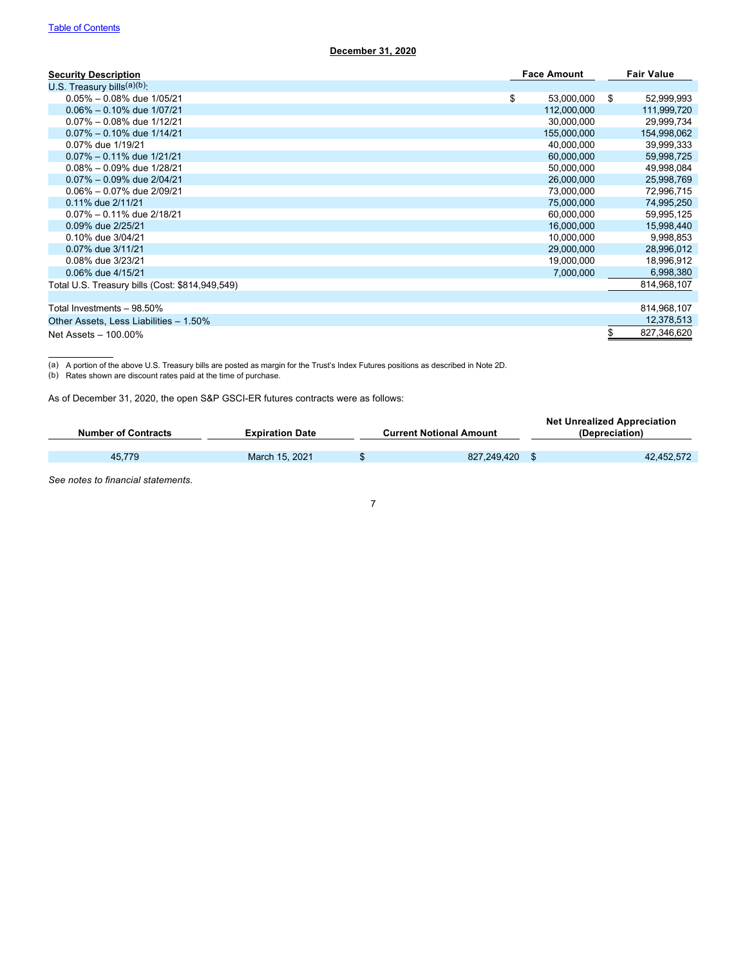| <b>Security Description</b>                     | <b>Face Amount</b> |     | <b>Fair Value</b> |
|-------------------------------------------------|--------------------|-----|-------------------|
| U.S. Treasury bills $(a)(b)$ .                  |                    |     |                   |
| $0.05\% - 0.08\%$ due $1/05/21$                 | \$<br>53,000,000   | -\$ | 52,999,993        |
| $0.06\% - 0.10\%$ due $1/07/21$                 | 112,000,000        |     | 111,999,720       |
| $0.07\% - 0.08\%$ due 1/12/21                   | 30,000,000         |     | 29,999,734        |
| $0.07\% - 0.10\%$ due 1/14/21                   | 155,000,000        |     | 154,998,062       |
| 0.07% due 1/19/21                               | 40,000,000         |     | 39,999,333        |
| $0.07\% - 0.11\%$ due 1/21/21                   | 60,000,000         |     | 59,998,725        |
| $0.08\% - 0.09\%$ due $1/28/21$                 | 50,000,000         |     | 49,998,084        |
| $0.07\% - 0.09\%$ due $2/04/21$                 | 26,000,000         |     | 25,998,769        |
| $0.06\% - 0.07\%$ due 2/09/21                   | 73,000,000         |     | 72,996,715        |
| 0.11% due 2/11/21                               | 75,000,000         |     | 74,995,250        |
| $0.07\% - 0.11\%$ due 2/18/21                   | 60,000,000         |     | 59,995,125        |
| 0.09% due 2/25/21                               | 16,000,000         |     | 15,998,440        |
| 0.10% due 3/04/21                               | 10,000,000         |     | 9,998,853         |
| 0.07% due 3/11/21                               | 29,000,000         |     | 28,996,012        |
| 0.08% due 3/23/21                               | 19,000,000         |     | 18,996,912        |
| 0.06% due 4/15/21                               | 7,000,000          |     | 6,998,380         |
| Total U.S. Treasury bills (Cost: \$814,949,549) |                    |     | 814,968,107       |
|                                                 |                    |     |                   |
| Total Investments - 98.50%                      |                    |     | 814,968,107       |
| Other Assets, Less Liabilities - 1.50%          |                    |     | 12,378,513        |
| Net Assets - 100.00%                            |                    | \$  | 827,346,620       |

(a) A portion of the above U.S. Treasury bills are posted as margin for the Trust's Index Futures positions as described in Note 2D.

(b) Rates shown are discount rates paid at the time of purchase.

As of December 31, 2020, the open S&P GSCI-ER futures contracts were as follows:

| <b>Number of Contracts</b> | <b>Expiration Date</b> | <b>Current Notional Amount</b> | <b>Net Unrealized Appreciation</b><br>(Depreciation) |
|----------------------------|------------------------|--------------------------------|------------------------------------------------------|
| 45.779                     | March 15, 2021         | \$<br>827.249.420              | 42,452,572                                           |
|                            |                        |                                |                                                      |

7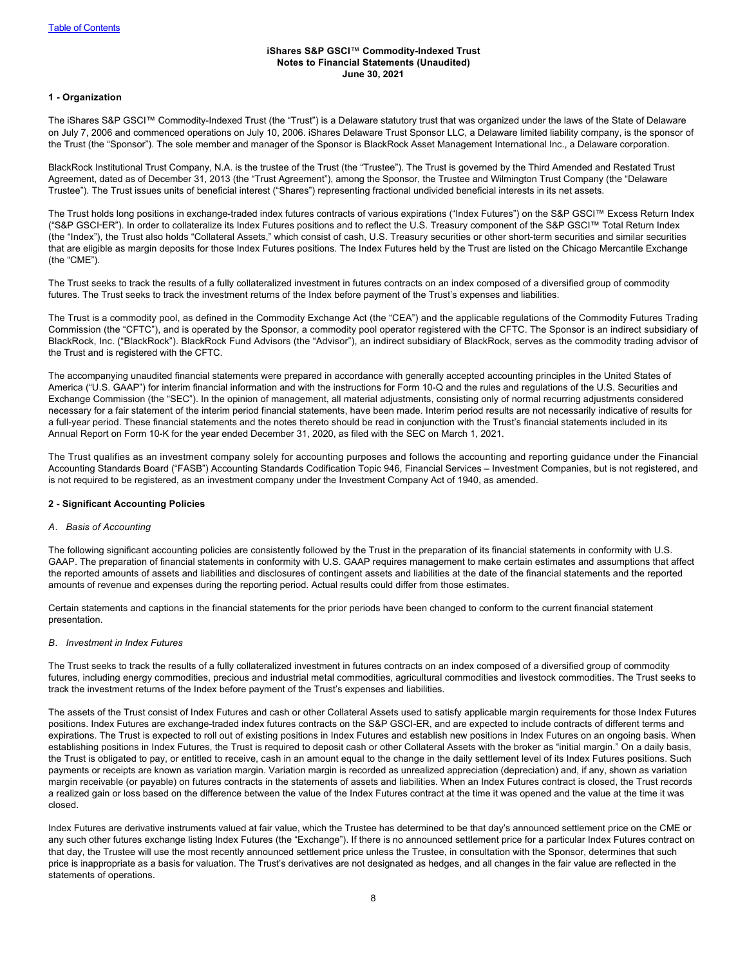## <span id="page-9-0"></span>**iShares S&P GSCI**™ **Commodity-Indexed Trust Notes to Financial Statements (Unaudited) June 30, 2021**

# **1 - Organization**

The iShares S&P GSCI™ Commodity-Indexed Trust (the "Trust") is a Delaware statutory trust that was organized under the laws of the State of Delaware on July 7, 2006 and commenced operations on July 10, 2006. iShares Delaware Trust Sponsor LLC, a Delaware limited liability company, is the sponsor of the Trust (the "Sponsor"). The sole member and manager of the Sponsor is BlackRock Asset Management International Inc., a Delaware corporation.

BlackRock Institutional Trust Company, N.A. is the trustee of the Trust (the "Trustee"). The Trust is governed by the Third Amended and Restated Trust Agreement, dated as of December 31, 2013 (the "Trust Agreement"), among the Sponsor, the Trustee and Wilmington Trust Company (the "Delaware Trustee"). The Trust issues units of beneficial interest ("Shares") representing fractional undivided beneficial interests in its net assets.

The Trust holds long positions in exchange-traded index futures contracts of various expirations ("Index Futures") on the S&P GSCI™ Excess Return Index ("S&P GSCI‑ER"). In order to collateralize its Index Futures positions and to reflect the U.S. Treasury component of the S&P GSCI™ Total Return Index (the "Index"), the Trust also holds "Collateral Assets," which consist of cash, U.S. Treasury securities or other short-term securities and similar securities that are eligible as margin deposits for those Index Futures positions. The Index Futures held by the Trust are listed on the Chicago Mercantile Exchange (the "CME").

The Trust seeks to track the results of a fully collateralized investment in futures contracts on an index composed of a diversified group of commodity futures. The Trust seeks to track the investment returns of the Index before payment of the Trust's expenses and liabilities.

The Trust is a commodity pool, as defined in the Commodity Exchange Act (the "CEA") and the applicable regulations of the Commodity Futures Trading Commission (the "CFTC"), and is operated by the Sponsor, a commodity pool operator registered with the CFTC. The Sponsor is an indirect subsidiary of BlackRock, Inc. ("BlackRock"). BlackRock Fund Advisors (the "Advisor"), an indirect subsidiary of BlackRock, serves as the commodity trading advisor of the Trust and is registered with the CFTC.

The accompanying unaudited financial statements were prepared in accordance with generally accepted accounting principles in the United States of America ("U.S. GAAP") for interim financial information and with the instructions for Form 10-Q and the rules and regulations of the U.S. Securities and Exchange Commission (the "SEC"). In the opinion of management, all material adjustments, consisting only of normal recurring adjustments considered necessary for a fair statement of the interim period financial statements, have been made. Interim period results are not necessarily indicative of results for a full-year period. These financial statements and the notes thereto should be read in conjunction with the Trust's financial statements included in its Annual Report on Form 10-K for the year ended December 31, 2020, as filed with the SEC on March 1, 2021.

The Trust qualifies as an investment company solely for accounting purposes and follows the accounting and reporting guidance under the Financial Accounting Standards Board ("FASB") Accounting Standards Codification Topic 946, Financial Services – Investment Companies, but is not registered, and is not required to be registered, as an investment company under the Investment Company Act of 1940, as amended.

# **2 - Significant Accounting Policies**

# *A. Basis of Accounting*

The following significant accounting policies are consistently followed by the Trust in the preparation of its financial statements in conformity with U.S. GAAP. The preparation of financial statements in conformity with U.S. GAAP requires management to make certain estimates and assumptions that affect the reported amounts of assets and liabilities and disclosures of contingent assets and liabilities at the date of the financial statements and the reported amounts of revenue and expenses during the reporting period. Actual results could differ from those estimates.

Certain statements and captions in the financial statements for the prior periods have been changed to conform to the current financial statement presentation.

# *B. Investment in Index Futures*

The Trust seeks to track the results of a fully collateralized investment in futures contracts on an index composed of a diversified group of commodity futures, including energy commodities, precious and industrial metal commodities, agricultural commodities and livestock commodities. The Trust seeks to track the investment returns of the Index before payment of the Trust's expenses and liabilities.

The assets of the Trust consist of Index Futures and cash or other Collateral Assets used to satisfy applicable margin requirements for those Index Futures positions. Index Futures are exchange-traded index futures contracts on the S&P GSCI-ER, and are expected to include contracts of different terms and expirations. The Trust is expected to roll out of existing positions in Index Futures and establish new positions in Index Futures on an ongoing basis. When establishing positions in Index Futures, the Trust is required to deposit cash or other Collateral Assets with the broker as "initial margin." On a daily basis, the Trust is obligated to pay, or entitled to receive, cash in an amount equal to the change in the daily settlement level of its Index Futures positions. Such payments or receipts are known as variation margin. Variation margin is recorded as unrealized appreciation (depreciation) and, if any, shown as variation margin receivable (or payable) on futures contracts in the statements of assets and liabilities. When an Index Futures contract is closed, the Trust records a realized gain or loss based on the difference between the value of the Index Futures contract at the time it was opened and the value at the time it was closed.

Index Futures are derivative instruments valued at fair value, which the Trustee has determined to be that day's announced settlement price on the CME or any such other futures exchange listing Index Futures (the "Exchange"). If there is no announced settlement price for a particular Index Futures contract on that day, the Trustee will use the most recently announced settlement price unless the Trustee, in consultation with the Sponsor, determines that such price is inappropriate as a basis for valuation. The Trust's derivatives are not designated as hedges, and all changes in the fair value are reflected in the statements of operations.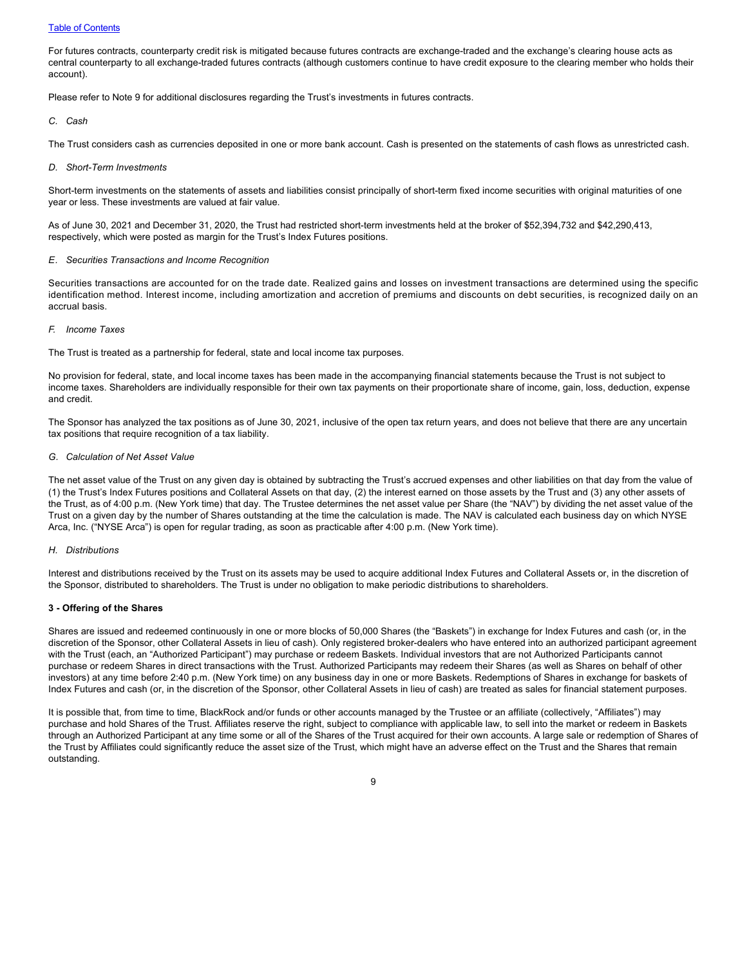# **[Table of Contents](#page-1-0)**

For futures contracts, counterparty credit risk is mitigated because futures contracts are exchange-traded and the exchange's clearing house acts as central counterparty to all exchange-traded futures contracts (although customers continue to have credit exposure to the clearing member who holds their account).

Please refer to Note 9 for additional disclosures regarding the Trust's investments in futures contracts.

### *C. Cash*

The Trust considers cash as currencies deposited in one or more bank account. Cash is presented on the statements of cash flows as unrestricted cash.

### *D. Short-Term Investments*

Short-term investments on the statements of assets and liabilities consist principally of short-term fixed income securities with original maturities of one year or less. These investments are valued at fair value.

As of June 30, 2021 and December 31, 2020, the Trust had restricted short-term investments held at the broker of \$52,394,732 and \$42,290,413, respectively, which were posted as margin for the Trust's Index Futures positions.

# *E. Securities Transactions and Income Recognition*

Securities transactions are accounted for on the trade date. Realized gains and losses on investment transactions are determined using the specific identification method. Interest income, including amortization and accretion of premiums and discounts on debt securities, is recognized daily on an accrual basis.

# *F. Income Taxes*

The Trust is treated as a partnership for federal, state and local income tax purposes.

No provision for federal, state, and local income taxes has been made in the accompanying financial statements because the Trust is not subject to income taxes. Shareholders are individually responsible for their own tax payments on their proportionate share of income, gain, loss, deduction, expense and credit.

The Sponsor has analyzed the tax positions as of June 30, 2021, inclusive of the open tax return years, and does not believe that there are any uncertain tax positions that require recognition of a tax liability.

## *G. Calculation of Net Asset Value*

The net asset value of the Trust on any given day is obtained by subtracting the Trust's accrued expenses and other liabilities on that day from the value of (1) the Trust's Index Futures positions and Collateral Assets on that day, (2) the interest earned on those assets by the Trust and (3) any other assets of the Trust, as of 4:00 p.m. (New York time) that day. The Trustee determines the net asset value per Share (the "NAV") by dividing the net asset value of the Trust on a given day by the number of Shares outstanding at the time the calculation is made. The NAV is calculated each business day on which NYSE Arca, Inc. ("NYSE Arca") is open for regular trading, as soon as practicable after 4:00 p.m. (New York time).

# *H. Distributions*

Interest and distributions received by the Trust on its assets may be used to acquire additional Index Futures and Collateral Assets or, in the discretion of the Sponsor, distributed to shareholders. The Trust is under no obligation to make periodic distributions to shareholders.

# **3 - Offering of the Shares**

Shares are issued and redeemed continuously in one or more blocks of 50,000 Shares (the "Baskets") in exchange for Index Futures and cash (or, in the discretion of the Sponsor, other Collateral Assets in lieu of cash). Only registered broker-dealers who have entered into an authorized participant agreement with the Trust (each, an "Authorized Participant") may purchase or redeem Baskets. Individual investors that are not Authorized Participants cannot purchase or redeem Shares in direct transactions with the Trust. Authorized Participants may redeem their Shares (as well as Shares on behalf of other investors) at any time before 2:40 p.m. (New York time) on any business day in one or more Baskets. Redemptions of Shares in exchange for baskets of Index Futures and cash (or, in the discretion of the Sponsor, other Collateral Assets in lieu of cash) are treated as sales for financial statement purposes.

It is possible that, from time to time, BlackRock and/or funds or other accounts managed by the Trustee or an affiliate (collectively, "Affiliates") may purchase and hold Shares of the Trust. Affiliates reserve the right, subject to compliance with applicable law, to sell into the market or redeem in Baskets through an Authorized Participant at any time some or all of the Shares of the Trust acquired for their own accounts. A large sale or redemption of Shares of the Trust by Affiliates could significantly reduce the asset size of the Trust, which might have an adverse effect on the Trust and the Shares that remain outstanding.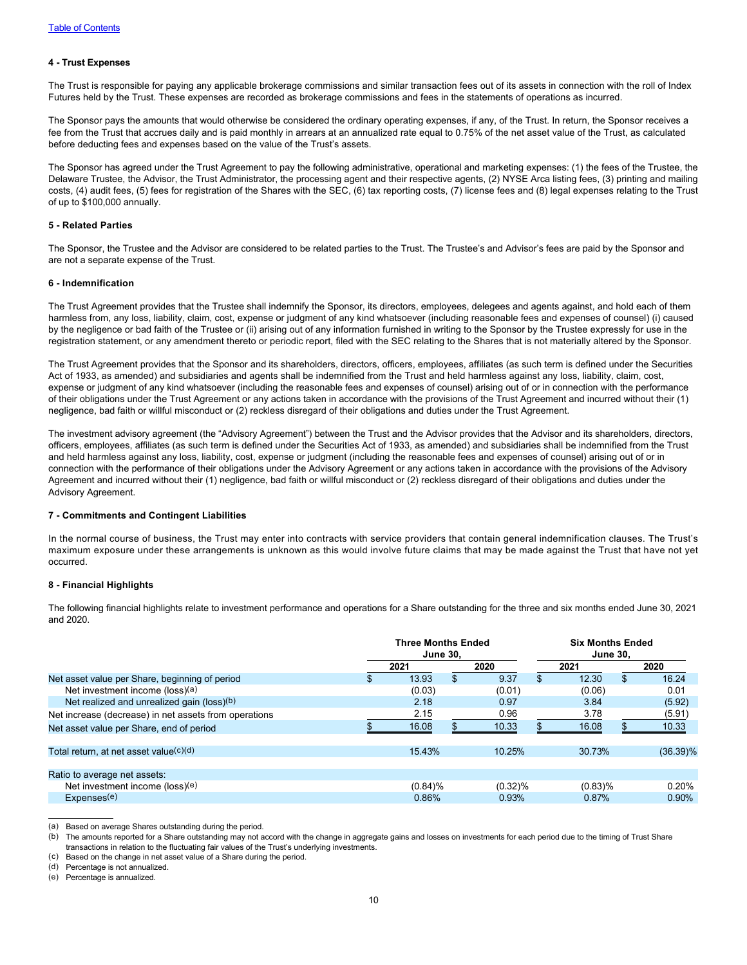# **4 - Trust Expenses**

The Trust is responsible for paying any applicable brokerage commissions and similar transaction fees out of its assets in connection with the roll of Index Futures held by the Trust. These expenses are recorded as brokerage commissions and fees in the statements of operations as incurred.

The Sponsor pays the amounts that would otherwise be considered the ordinary operating expenses, if any, of the Trust. In return, the Sponsor receives a fee from the Trust that accrues daily and is paid monthly in arrears at an annualized rate equal to 0.75% of the net asset value of the Trust, as calculated before deducting fees and expenses based on the value of the Trust's assets.

The Sponsor has agreed under the Trust Agreement to pay the following administrative, operational and marketing expenses: (1) the fees of the Trustee, the Delaware Trustee, the Advisor, the Trust Administrator, the processing agent and their respective agents, (2) NYSE Arca listing fees, (3) printing and mailing costs, (4) audit fees, (5) fees for registration of the Shares with the SEC, (6) tax reporting costs, (7) license fees and (8) legal expenses relating to the Trust of up to \$100,000 annually.

# **5 - Related Parties**

The Sponsor, the Trustee and the Advisor are considered to be related parties to the Trust. The Trustee's and Advisor's fees are paid by the Sponsor and are not a separate expense of the Trust.

# **6 - Indemnification**

The Trust Agreement provides that the Trustee shall indemnify the Sponsor, its directors, employees, delegees and agents against, and hold each of them harmless from, any loss, liability, claim, cost, expense or judgment of any kind whatsoever (including reasonable fees and expenses of counsel) (i) caused by the negligence or bad faith of the Trustee or (ii) arising out of any information furnished in writing to the Sponsor by the Trustee expressly for use in the registration statement, or any amendment thereto or periodic report, filed with the SEC relating to the Shares that is not materially altered by the Sponsor.

The Trust Agreement provides that the Sponsor and its shareholders, directors, officers, employees, affiliates (as such term is defined under the Securities Act of 1933, as amended) and subsidiaries and agents shall be indemnified from the Trust and held harmless against any loss, liability, claim, cost, expense or judgment of any kind whatsoever (including the reasonable fees and expenses of counsel) arising out of or in connection with the performance of their obligations under the Trust Agreement or any actions taken in accordance with the provisions of the Trust Agreement and incurred without their (1) negligence, bad faith or willful misconduct or (2) reckless disregard of their obligations and duties under the Trust Agreement.

The investment advisory agreement (the "Advisory Agreement") between the Trust and the Advisor provides that the Advisor and its shareholders, directors, officers, employees, affiliates (as such term is defined under the Securities Act of 1933, as amended) and subsidiaries shall be indemnified from the Trust and held harmless against any loss, liability, cost, expense or judgment (including the reasonable fees and expenses of counsel) arising out of or in connection with the performance of their obligations under the Advisory Agreement or any actions taken in accordance with the provisions of the Advisory Agreement and incurred without their (1) negligence, bad faith or willful misconduct or (2) reckless disregard of their obligations and duties under the Advisory Agreement.

# **7 - Commitments and Contingent Liabilities**

In the normal course of business, the Trust may enter into contracts with service providers that contain general indemnification clauses. The Trust's maximum exposure under these arrangements is unknown as this would involve future claims that may be made against the Trust that have not yet occurred.

# **8 - Financial Highlights**

The following financial highlights relate to investment performance and operations for a Share outstanding for the three and six months ended June 30, 2021 and 2020.

|                                                       | <b>Three Months Ended</b><br><b>June 30.</b> |            |    | <b>Six Months Ended</b><br><b>June 30.</b> |     |            |     |             |
|-------------------------------------------------------|----------------------------------------------|------------|----|--------------------------------------------|-----|------------|-----|-------------|
|                                                       |                                              | 2021       |    | 2020                                       |     | 2021       |     | 2020        |
| Net asset value per Share, beginning of period        |                                              | 13.93      | \$ | 9.37                                       | \$. | 12.30      | \$. | 16.24       |
| Net investment income ( $loss$ )                      |                                              | (0.03)     |    | (0.01)                                     |     | (0.06)     |     | 0.01        |
| Net realized and unrealized gain (loss) $(b)$         |                                              | 2.18       |    | 0.97                                       |     | 3.84       |     | (5.92)      |
| Net increase (decrease) in net assets from operations |                                              | 2.15       |    | 0.96                                       |     | 3.78       |     | (5.91)      |
| Net asset value per Share, end of period              |                                              | 16.08      |    | 10.33                                      |     | 16.08      |     | 10.33       |
| Total return, at net asset value $(c)(d)$             |                                              | 15.43%     |    | 10.25%                                     |     | 30.73%     |     | $(36.39)\%$ |
| Ratio to average net assets:                          |                                              |            |    |                                            |     |            |     |             |
| Net investment income (loss)(e)                       |                                              | $(0.84)$ % |    | $(0.32)\%$                                 |     | $(0.83)\%$ |     | 0.20%       |
| Expenses <sup>(e)</sup>                               |                                              | 0.86%      |    | 0.93%                                      |     | 0.87%      |     | 0.90%       |

<sup>(</sup>a) Based on average Shares outstanding during the period.

(d) Percentage is not annualized.

(e) Percentage is annualized.

<sup>(</sup>b) The amounts reported for a Share outstanding may not accord with the change in aggregate gains and losses on investments for each period due to the timing of Trust Share transactions in relation to the fluctuating fair values of the Trust's underlying investments.

<sup>(</sup>c) Based on the change in net asset value of a Share during the period.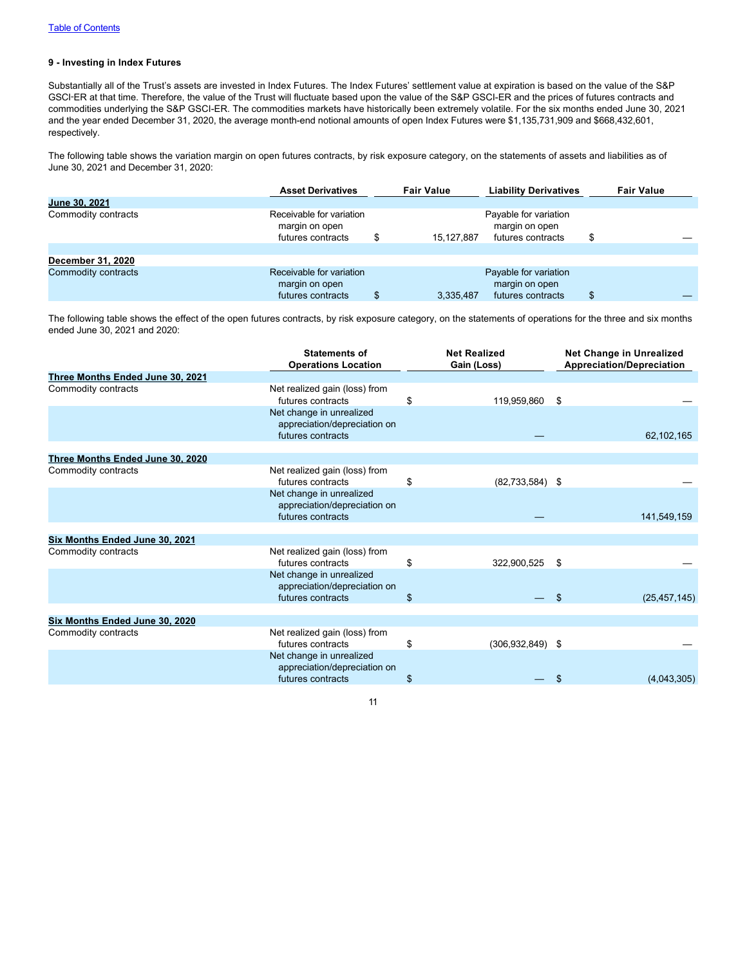# **9 - Investing in Index Futures**

Substantially all of the Trust's assets are invested in Index Futures. The Index Futures' settlement value at expiration is based on the value of the S&P GSCI-ER at that time. Therefore, the value of the Trust will fluctuate based upon the value of the S&P GSCI-ER and the prices of futures contracts and commodities underlying the S&P GSCI-ER. The commodities markets have historically been extremely volatile. For the six months ended June 30, 2021 and the year ended December 31, 2020, the average month-end notional amounts of open Index Futures were \$1,135,731,909 and \$668,432,601, respectively.

The following table shows the variation margin on open futures contracts, by risk exposure category, on the statements of assets and liabilities as of June 30, 2021 and December 31, 2020:

|                     | <b>Asset Derivatives</b>                                        | <b>Fair Value</b> | <b>Liability Derivatives</b>                                 |   | <b>Fair Value</b> |  |
|---------------------|-----------------------------------------------------------------|-------------------|--------------------------------------------------------------|---|-------------------|--|
| June 30, 2021       |                                                                 |                   |                                                              |   |                   |  |
| Commodity contracts | Receivable for variation<br>margin on open<br>futures contracts | \$<br>15.127.887  | Payable for variation<br>margin on open<br>futures contracts | Ф |                   |  |
| December 31, 2020   |                                                                 |                   |                                                              |   |                   |  |
| Commodity contracts | Receivable for variation<br>margin on open<br>futures contracts | 3,335,487         | Payable for variation<br>margin on open<br>futures contracts | S |                   |  |

The following table shows the effect of the open futures contracts, by risk exposure category, on the statements of operations for the three and six months ended June 30, 2021 and 2020:

| <b>Statements of</b><br><b>Operations Location</b>                            |                   | <b>Net Realized</b><br>Gain (Loss) | <b>Net Change in Unrealized</b><br><b>Appreciation/Depreciation</b>        |
|-------------------------------------------------------------------------------|-------------------|------------------------------------|----------------------------------------------------------------------------|
|                                                                               |                   |                                    |                                                                            |
| Net realized gain (loss) from<br>futures contracts                            | \$                |                                    |                                                                            |
| Net change in unrealized<br>appreciation/depreciation on<br>futures contracts |                   |                                    | 62,102,165                                                                 |
|                                                                               |                   |                                    |                                                                            |
|                                                                               |                   |                                    |                                                                            |
| Net realized gain (loss) from<br>futures contracts                            | \$                |                                    |                                                                            |
| Net change in unrealized<br>appreciation/depreciation on                      |                   |                                    | 141,549,159                                                                |
|                                                                               |                   |                                    |                                                                            |
|                                                                               |                   |                                    |                                                                            |
| Net realized gain (loss) from<br>futures contracts                            | \$                |                                    | - \$                                                                       |
| Net change in unrealized<br>appreciation/depreciation on                      |                   |                                    |                                                                            |
| futures contracts                                                             | \$                |                                    | \$<br>(25, 457, 145)                                                       |
|                                                                               |                   |                                    |                                                                            |
| Net realized gain (loss) from<br>futures contracts                            | \$                |                                    |                                                                            |
| Net change in unrealized<br>appreciation/depreciation on                      |                   |                                    |                                                                            |
| futures contracts                                                             | \$                |                                    | (4,043,305)<br>\$                                                          |
|                                                                               | futures contracts |                                    | 119,959,860 \$<br>$(82,733,584)$ \$<br>322,900,525<br>$(306, 932, 849)$ \$ |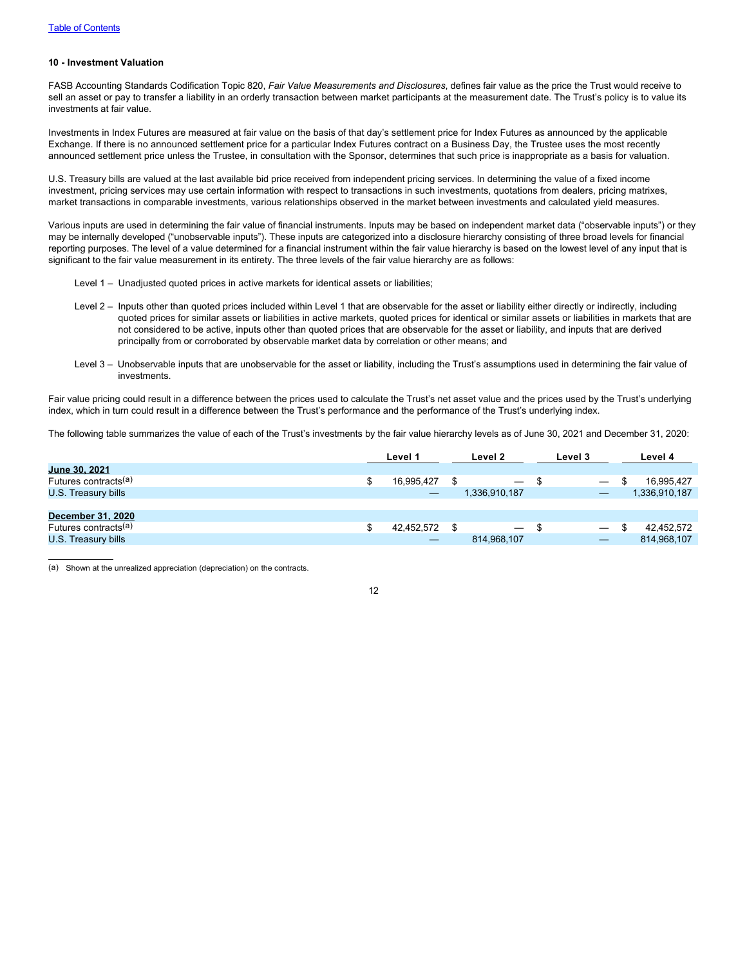# **10 - Investment Valuation**

FASB Accounting Standards Codification Topic 820, *Fair Value Measurements and Disclosures*, defines fair value as the price the Trust would receive to sell an asset or pay to transfer a liability in an orderly transaction between market participants at the measurement date. The Trust's policy is to value its investments at fair value.

Investments in Index Futures are measured at fair value on the basis of that day's settlement price for Index Futures as announced by the applicable Exchange. If there is no announced settlement price for a particular Index Futures contract on a Business Day, the Trustee uses the most recently announced settlement price unless the Trustee, in consultation with the Sponsor, determines that such price is inappropriate as a basis for valuation.

U.S. Treasury bills are valued at the last available bid price received from independent pricing services. In determining the value of a fixed income investment, pricing services may use certain information with respect to transactions in such investments, quotations from dealers, pricing matrixes, market transactions in comparable investments, various relationships observed in the market between investments and calculated yield measures.

Various inputs are used in determining the fair value of financial instruments. Inputs may be based on independent market data ("observable inputs") or they may be internally developed ("unobservable inputs"). These inputs are categorized into a disclosure hierarchy consisting of three broad levels for financial reporting purposes. The level of a value determined for a financial instrument within the fair value hierarchy is based on the lowest level of any input that is significant to the fair value measurement in its entirety. The three levels of the fair value hierarchy are as follows:

- Level 1 Unadjusted quoted prices in active markets for identical assets or liabilities;
- Level 2 Inputs other than quoted prices included within Level 1 that are observable for the asset or liability either directly or indirectly, including quoted prices for similar assets or liabilities in active markets, quoted prices for identical or similar assets or liabilities in markets that are not considered to be active, inputs other than quoted prices that are observable for the asset or liability, and inputs that are derived principally from or corroborated by observable market data by correlation or other means; and
- Level 3 Unobservable inputs that are unobservable for the asset or liability, including the Trust's assumptions used in determining the fair value of investments.

Fair value pricing could result in a difference between the prices used to calculate the Trust's net asset value and the prices used by the Trust's underlying index, which in turn could result in a difference between the Trust's performance and the performance of the Trust's underlying index.

The following table summarizes the value of each of the Trust's investments by the fair value hierarchy levels as of June 30, 2021 and December 31, 2020:

|                                  | Level 1 |            | Level 2 |               | Level 3 |                          | Level 4 |               |
|----------------------------------|---------|------------|---------|---------------|---------|--------------------------|---------|---------------|
| June 30, 2021                    |         |            |         |               |         |                          |         |               |
| Futures contracts(a)             |         | 16.995.427 |         |               |         |                          | S       | 16,995,427    |
| U.S. Treasury bills              |         |            |         | 1.336.910.187 |         |                          |         | 1,336,910,187 |
|                                  |         |            |         |               |         |                          |         |               |
| December 31, 2020                |         |            |         |               |         |                          |         |               |
| Futures contracts <sup>(a)</sup> |         | 42,452,572 |         |               | - 30    | $\overline{\phantom{0}}$ | - 35    | 42,452,572    |
| U.S. Treasury bills              |         |            |         | 814,968,107   |         |                          |         | 814,968,107   |

(a) Shown at the unrealized appreciation (depreciation) on the contracts.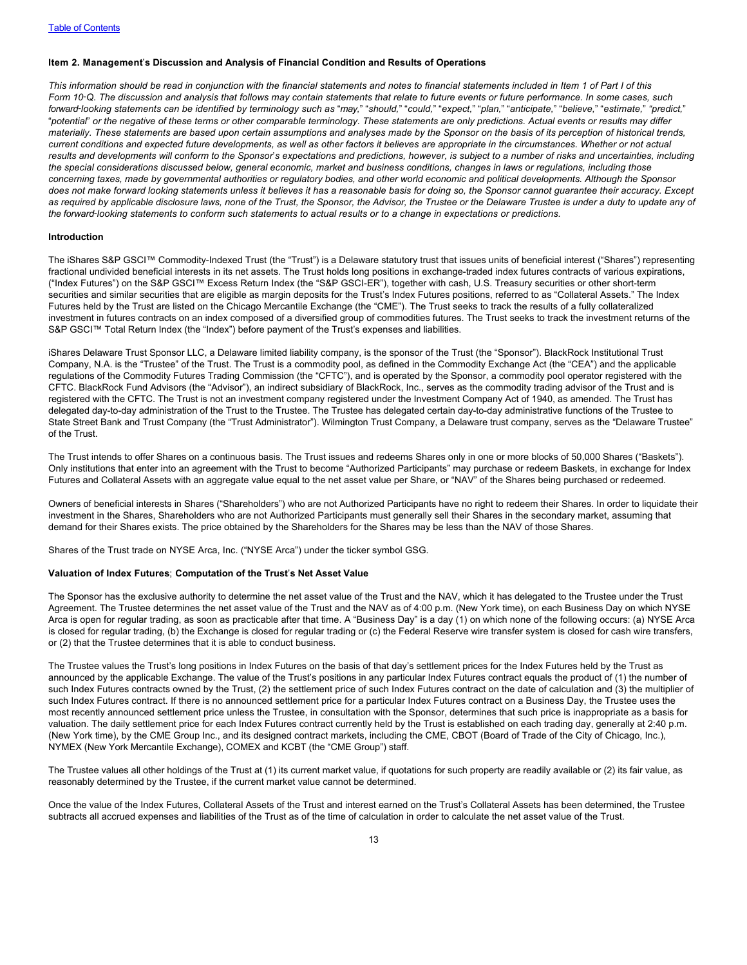# <span id="page-14-0"></span>**Item 2. Management**'**s Discussion and Analysis of Financial Condition and Results of Operations**

*This information should be read in conjunction with the financial statements and notes to financial statements included in Item 1 of Part I of this Form 10*‑*Q. The discussion and analysis that follows may contain statements that relate to future events or future performance. In some cases, such* forward-looking statements can be identified by terminology such as "may," "should," "could," "expect," "plan," "anticipate," "believe," "estimate," "predict," "*potential*" *or the negative of these terms or other comparable terminology. These statements are only predictions. Actual events or results may differ materially. These statements are based upon certain assumptions and analyses made by the Sponsor on the basis of its perception of historical trends, current conditions and expected future developments, as well as other factors it believes are appropriate in the circumstances. Whether or not actual results and developments will conform to the Sponsor*'*s expectations and predictions, however, is subject to a number of risks and uncertainties, including the special considerations discussed below, general economic, market and business conditions, changes in laws or regulations, including those concerning taxes, made by governmental authorities or regulatory bodies, and other world economic and political developments. Although the Sponsor does not make forward looking statements unless it believes it has a reasonable basis for doing so, the Sponsor cannot guarantee their accuracy. Except as required by applicable disclosure laws, none of the Trust, the Sponsor, the Advisor, the Trustee or the Delaware Trustee is under a duty to update any of the forward*‑*looking statements to conform such statements to actual results or to a change in expectations or predictions.*

#### **Introduction**

The iShares S&P GSCI™ Commodity-Indexed Trust (the "Trust") is a Delaware statutory trust that issues units of beneficial interest ("Shares") representing fractional undivided beneficial interests in its net assets. The Trust holds long positions in exchange-traded index futures contracts of various expirations, ("Index Futures") on the S&P GSCI™ Excess Return Index (the "S&P GSCI-ER"), together with cash, U.S. Treasury securities or other short-term securities and similar securities that are eligible as margin deposits for the Trust's Index Futures positions, referred to as "Collateral Assets." The Index Futures held by the Trust are listed on the Chicago Mercantile Exchange (the "CME"). The Trust seeks to track the results of a fully collateralized investment in futures contracts on an index composed of a diversified group of commodities futures. The Trust seeks to track the investment returns of the S&P GSCI™ Total Return Index (the "Index") before payment of the Trust's expenses and liabilities.

iShares Delaware Trust Sponsor LLC, a Delaware limited liability company, is the sponsor of the Trust (the "Sponsor"). BlackRock Institutional Trust Company, N.A. is the "Trustee" of the Trust. The Trust is a commodity pool, as defined in the Commodity Exchange Act (the "CEA") and the applicable regulations of the Commodity Futures Trading Commission (the "CFTC"), and is operated by the Sponsor, a commodity pool operator registered with the CFTC. BlackRock Fund Advisors (the "Advisor"), an indirect subsidiary of BlackRock, Inc., serves as the commodity trading advisor of the Trust and is registered with the CFTC. The Trust is not an investment company registered under the Investment Company Act of 1940, as amended. The Trust has delegated day-to-day administration of the Trust to the Trustee. The Trustee has delegated certain day-to-day administrative functions of the Trustee to State Street Bank and Trust Company (the "Trust Administrator"). Wilmington Trust Company, a Delaware trust company, serves as the "Delaware Trustee" of the Trust.

The Trust intends to offer Shares on a continuous basis. The Trust issues and redeems Shares only in one or more blocks of 50,000 Shares ("Baskets"). Only institutions that enter into an agreement with the Trust to become "Authorized Participants" may purchase or redeem Baskets, in exchange for Index Futures and Collateral Assets with an aggregate value equal to the net asset value per Share, or "NAV" of the Shares being purchased or redeemed.

Owners of beneficial interests in Shares ("Shareholders") who are not Authorized Participants have no right to redeem their Shares. In order to liquidate their investment in the Shares, Shareholders who are not Authorized Participants must generally sell their Shares in the secondary market, assuming that demand for their Shares exists. The price obtained by the Shareholders for the Shares may be less than the NAV of those Shares.

Shares of the Trust trade on NYSE Arca, Inc. ("NYSE Arca") under the ticker symbol GSG.

# **Valuation of Index Futures**; **Computation of the Trust**'**s Net Asset Value**

The Sponsor has the exclusive authority to determine the net asset value of the Trust and the NAV, which it has delegated to the Trustee under the Trust Agreement. The Trustee determines the net asset value of the Trust and the NAV as of 4:00 p.m. (New York time), on each Business Day on which NYSE Arca is open for regular trading, as soon as practicable after that time. A "Business Day" is a day (1) on which none of the following occurs: (a) NYSE Arca is closed for regular trading, (b) the Exchange is closed for regular trading or (c) the Federal Reserve wire transfer system is closed for cash wire transfers, or (2) that the Trustee determines that it is able to conduct business.

The Trustee values the Trust's long positions in Index Futures on the basis of that day's settlement prices for the Index Futures held by the Trust as announced by the applicable Exchange. The value of the Trust's positions in any particular Index Futures contract equals the product of (1) the number of such Index Futures contracts owned by the Trust, (2) the settlement price of such Index Futures contract on the date of calculation and (3) the multiplier of such Index Futures contract. If there is no announced settlement price for a particular Index Futures contract on a Business Day, the Trustee uses the most recently announced settlement price unless the Trustee, in consultation with the Sponsor, determines that such price is inappropriate as a basis for valuation. The daily settlement price for each Index Futures contract currently held by the Trust is established on each trading day, generally at 2:40 p.m. (New York time), by the CME Group Inc., and its designed contract markets, including the CME, CBOT (Board of Trade of the City of Chicago, Inc.), NYMEX (New York Mercantile Exchange), COMEX and KCBT (the "CME Group") staff.

The Trustee values all other holdings of the Trust at (1) its current market value, if quotations for such property are readily available or (2) its fair value, as reasonably determined by the Trustee, if the current market value cannot be determined.

Once the value of the Index Futures, Collateral Assets of the Trust and interest earned on the Trust's Collateral Assets has been determined, the Trustee subtracts all accrued expenses and liabilities of the Trust as of the time of calculation in order to calculate the net asset value of the Trust.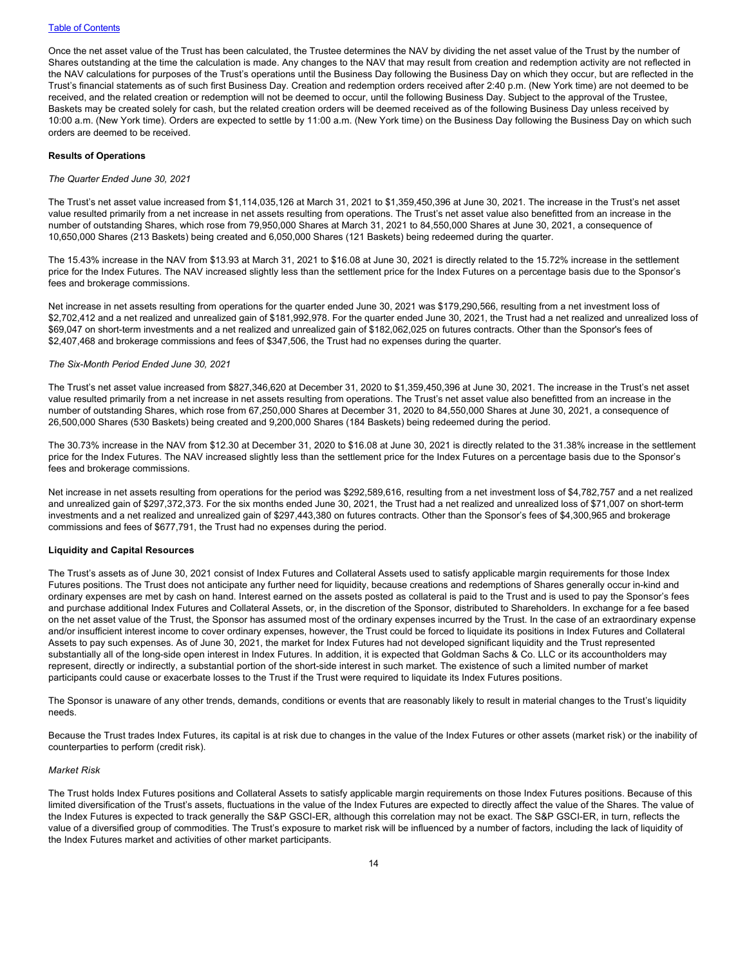# **[Table of Contents](#page-1-0)**

Once the net asset value of the Trust has been calculated, the Trustee determines the NAV by dividing the net asset value of the Trust by the number of Shares outstanding at the time the calculation is made. Any changes to the NAV that may result from creation and redemption activity are not reflected in the NAV calculations for purposes of the Trust's operations until the Business Day following the Business Day on which they occur, but are reflected in the Trust's financial statements as of such first Business Day. Creation and redemption orders received after 2:40 p.m. (New York time) are not deemed to be received, and the related creation or redemption will not be deemed to occur, until the following Business Day. Subject to the approval of the Trustee, Baskets may be created solely for cash, but the related creation orders will be deemed received as of the following Business Day unless received by 10:00 a.m. (New York time). Orders are expected to settle by 11:00 a.m. (New York time) on the Business Day following the Business Day on which such orders are deemed to be received.

### **Results of Operations**

### *The Quarter Ended June 30, 2021*

The Trust's net asset value increased from \$1,114,035,126 at March 31, 2021 to \$1,359,450,396 at June 30, 2021. The increase in the Trust's net asset value resulted primarily from a net increase in net assets resulting from operations. The Trust's net asset value also benefitted from an increase in the number of outstanding Shares, which rose from 79,950,000 Shares at March 31, 2021 to 84,550,000 Shares at June 30, 2021, a consequence of 10,650,000 Shares (213 Baskets) being created and 6,050,000 Shares (121 Baskets) being redeemed during the quarter.

The 15.43% increase in the NAV from \$13.93 at March 31, 2021 to \$16.08 at June 30, 2021 is directly related to the 15.72% increase in the settlement price for the Index Futures. The NAV increased slightly less than the settlement price for the Index Futures on a percentage basis due to the Sponsor's fees and brokerage commissions.

Net increase in net assets resulting from operations for the quarter ended June 30, 2021 was \$179,290,566, resulting from a net investment loss of \$2,702,412 and a net realized and unrealized gain of \$181,992,978. For the quarter ended June 30, 2021, the Trust had a net realized and unrealized loss of \$69,047 on short-term investments and a net realized and unrealized gain of \$182,062,025 on futures contracts. Other than the Sponsor's fees of \$2,407,468 and brokerage commissions and fees of \$347,506, the Trust had no expenses during the quarter.

### *The Six-Month Period Ended June 30, 2021*

The Trust's net asset value increased from \$827,346,620 at December 31, 2020 to \$1,359,450,396 at June 30, 2021. The increase in the Trust's net asset value resulted primarily from a net increase in net assets resulting from operations. The Trust's net asset value also benefitted from an increase in the number of outstanding Shares, which rose from 67,250,000 Shares at December 31, 2020 to 84,550,000 Shares at June 30, 2021, a consequence of 26,500,000 Shares (530 Baskets) being created and 9,200,000 Shares (184 Baskets) being redeemed during the period.

The 30.73% increase in the NAV from \$12.30 at December 31, 2020 to \$16.08 at June 30, 2021 is directly related to the 31.38% increase in the settlement price for the Index Futures. The NAV increased slightly less than the settlement price for the Index Futures on a percentage basis due to the Sponsor's fees and brokerage commissions.

Net increase in net assets resulting from operations for the period was \$292,589,616, resulting from a net investment loss of \$4,782,757 and a net realized and unrealized gain of \$297,372,373. For the six months ended June 30, 2021, the Trust had a net realized and unrealized loss of \$71,007 on short-term investments and a net realized and unrealized gain of \$297,443,380 on futures contracts. Other than the Sponsor's fees of \$4,300,965 and brokerage commissions and fees of \$677,791, the Trust had no expenses during the period.

# **Liquidity and Capital Resources**

The Trust's assets as of June 30, 2021 consist of Index Futures and Collateral Assets used to satisfy applicable margin requirements for those Index Futures positions. The Trust does not anticipate any further need for liquidity, because creations and redemptions of Shares generally occur in-kind and ordinary expenses are met by cash on hand. Interest earned on the assets posted as collateral is paid to the Trust and is used to pay the Sponsor's fees and purchase additional Index Futures and Collateral Assets, or, in the discretion of the Sponsor, distributed to Shareholders. In exchange for a fee based on the net asset value of the Trust, the Sponsor has assumed most of the ordinary expenses incurred by the Trust. In the case of an extraordinary expense and/or insufficient interest income to cover ordinary expenses, however, the Trust could be forced to liquidate its positions in Index Futures and Collateral Assets to pay such expenses. As of June 30, 2021, the market for Index Futures had not developed significant liquidity and the Trust represented substantially all of the long-side open interest in Index Futures. In addition, it is expected that Goldman Sachs & Co. LLC or its accountholders may represent, directly or indirectly, a substantial portion of the short-side interest in such market. The existence of such a limited number of market participants could cause or exacerbate losses to the Trust if the Trust were required to liquidate its Index Futures positions.

The Sponsor is unaware of any other trends, demands, conditions or events that are reasonably likely to result in material changes to the Trust's liquidity needs.

Because the Trust trades Index Futures, its capital is at risk due to changes in the value of the Index Futures or other assets (market risk) or the inability of counterparties to perform (credit risk).

#### *Market Risk*

The Trust holds Index Futures positions and Collateral Assets to satisfy applicable margin requirements on those Index Futures positions. Because of this limited diversification of the Trust's assets, fluctuations in the value of the Index Futures are expected to directly affect the value of the Shares. The value of the Index Futures is expected to track generally the S&P GSCI-ER, although this correlation may not be exact. The S&P GSCI-ER, in turn, reflects the value of a diversified group of commodities. The Trust's exposure to market risk will be influenced by a number of factors, including the lack of liquidity of the Index Futures market and activities of other market participants.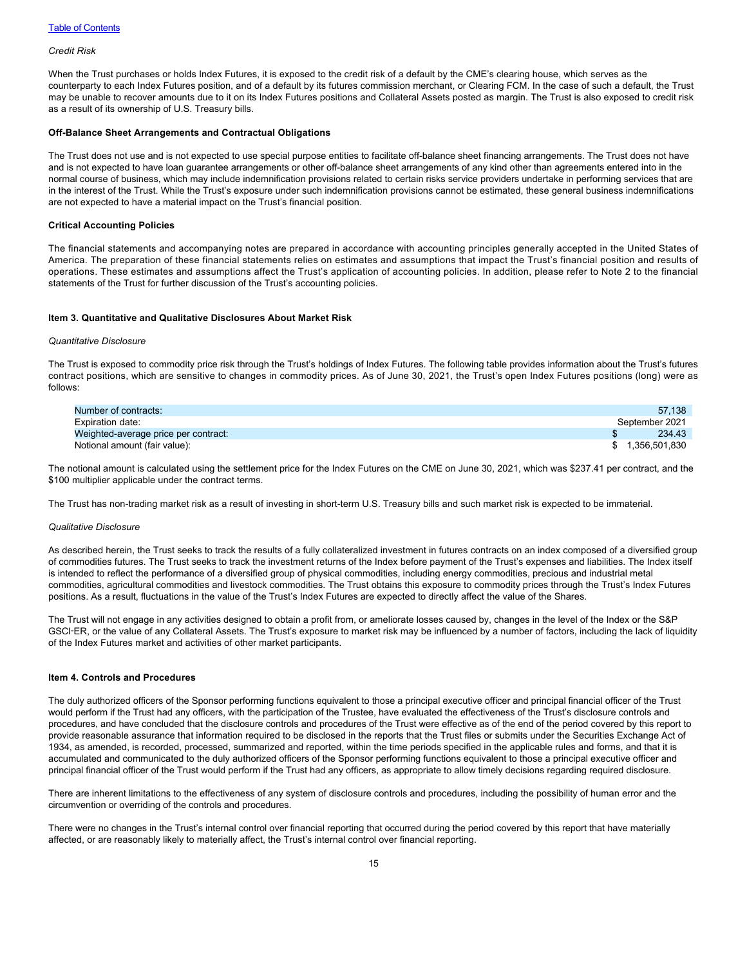# *Credit Risk*

When the Trust purchases or holds Index Futures, it is exposed to the credit risk of a default by the CME's clearing house, which serves as the counterparty to each Index Futures position, and of a default by its futures commission merchant, or Clearing FCM. In the case of such a default, the Trust may be unable to recover amounts due to it on its Index Futures positions and Collateral Assets posted as margin. The Trust is also exposed to credit risk as a result of its ownership of U.S. Treasury bills.

# **Off-Balance Sheet Arrangements and Contractual Obligations**

The Trust does not use and is not expected to use special purpose entities to facilitate off-balance sheet financing arrangements. The Trust does not have and is not expected to have loan guarantee arrangements or other off-balance sheet arrangements of any kind other than agreements entered into in the normal course of business, which may include indemnification provisions related to certain risks service providers undertake in performing services that are in the interest of the Trust. While the Trust's exposure under such indemnification provisions cannot be estimated, these general business indemnifications are not expected to have a material impact on the Trust's financial position.

# **Critical Accounting Policies**

The financial statements and accompanying notes are prepared in accordance with accounting principles generally accepted in the United States of America. The preparation of these financial statements relies on estimates and assumptions that impact the Trust's financial position and results of operations. These estimates and assumptions affect the Trust's application of accounting policies. In addition, please refer to Note 2 to the financial statements of the Trust for further discussion of the Trust's accounting policies.

# <span id="page-16-0"></span>**Item 3. Quantitative and Qualitative Disclosures About Market Risk**

#### *Quantitative Disclosure*

The Trust is exposed to commodity price risk through the Trust's holdings of Index Futures. The following table provides information about the Trust's futures contract positions, which are sensitive to changes in commodity prices. As of June 30, 2021, the Trust's open Index Futures positions (long) were as follows:

| Number of contracts:                 | 57.138           |
|--------------------------------------|------------------|
| Expiration date:                     | September 2021   |
| Weighted-average price per contract: | 234.43           |
| Notional amount (fair value):        | \$ 1,356,501,830 |

The notional amount is calculated using the settlement price for the Index Futures on the CME on June 30, 2021, which was \$237.41 per contract, and the \$100 multiplier applicable under the contract terms.

The Trust has non-trading market risk as a result of investing in short-term U.S. Treasury bills and such market risk is expected to be immaterial.

#### *Qualitative Disclosure*

As described herein, the Trust seeks to track the results of a fully collateralized investment in futures contracts on an index composed of a diversified group of commodities futures. The Trust seeks to track the investment returns of the Index before payment of the Trust's expenses and liabilities. The Index itself is intended to reflect the performance of a diversified group of physical commodities, including energy commodities, precious and industrial metal commodities, agricultural commodities and livestock commodities. The Trust obtains this exposure to commodity prices through the Trust's Index Futures positions. As a result, fluctuations in the value of the Trust's Index Futures are expected to directly affect the value of the Shares.

The Trust will not engage in any activities designed to obtain a profit from, or ameliorate losses caused by, changes in the level of the Index or the S&P GSCI-ER, or the value of any Collateral Assets. The Trust's exposure to market risk may be influenced by a number of factors, including the lack of liquidity of the Index Futures market and activities of other market participants.

#### <span id="page-16-1"></span>**Item 4. Controls and Procedures**

The duly authorized officers of the Sponsor performing functions equivalent to those a principal executive officer and principal financial officer of the Trust would perform if the Trust had any officers, with the participation of the Trustee, have evaluated the effectiveness of the Trust's disclosure controls and procedures, and have concluded that the disclosure controls and procedures of the Trust were effective as of the end of the period covered by this report to provide reasonable assurance that information required to be disclosed in the reports that the Trust files or submits under the Securities Exchange Act of 1934, as amended, is recorded, processed, summarized and reported, within the time periods specified in the applicable rules and forms, and that it is accumulated and communicated to the duly authorized officers of the Sponsor performing functions equivalent to those a principal executive officer and principal financial officer of the Trust would perform if the Trust had any officers, as appropriate to allow timely decisions regarding required disclosure.

There are inherent limitations to the effectiveness of any system of disclosure controls and procedures, including the possibility of human error and the circumvention or overriding of the controls and procedures.

There were no changes in the Trust's internal control over financial reporting that occurred during the period covered by this report that have materially affected, or are reasonably likely to materially affect, the Trust's internal control over financial reporting.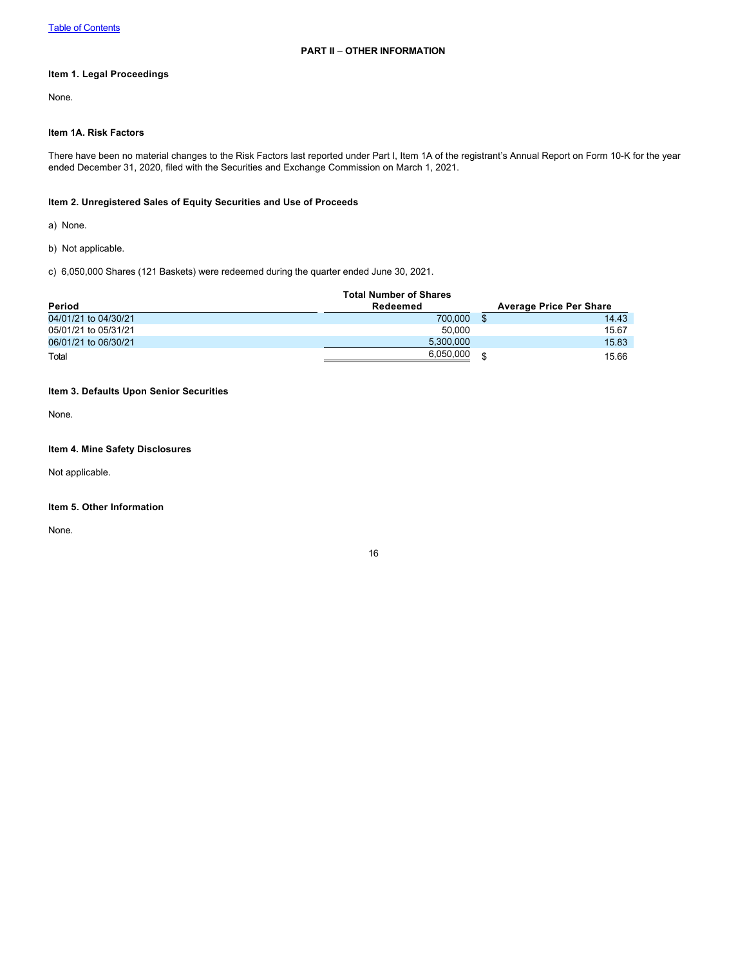# <span id="page-17-1"></span><span id="page-17-0"></span>**Item 1. Legal Proceedings**

None.

# <span id="page-17-2"></span>**Item 1A. Risk Factors**

There have been no material changes to the Risk Factors last reported under Part I, Item 1A of the registrant's Annual Report on Form 10-K for the year ended December 31, 2020, filed with the Securities and Exchange Commission on March 1, 2021.

# <span id="page-17-3"></span>**Item 2. Unregistered Sales of Equity Securities and Use of Proceeds**

a) None.

b) Not applicable.

c) 6,050,000 Shares (121 Baskets) were redeemed during the quarter ended June 30, 2021.

|                      | <b>Total Number of Shares</b> |                                |
|----------------------|-------------------------------|--------------------------------|
| Period               | Redeemed                      | <b>Average Price Per Share</b> |
| 04/01/21 to 04/30/21 | 700.000                       | 14.43                          |
| 05/01/21 to 05/31/21 | 50.000                        | 15.67                          |
| 06/01/21 to 06/30/21 | 5,300,000                     | 15.83                          |
| Total                | 6,050,000                     | 15.66                          |

# <span id="page-17-4"></span>**Item 3. Defaults Upon Senior Securities**

None.

# <span id="page-17-5"></span>**Item 4. Mine Safety Disclosures**

Not applicable.

# <span id="page-17-6"></span>**Item 5. Other Information**

None.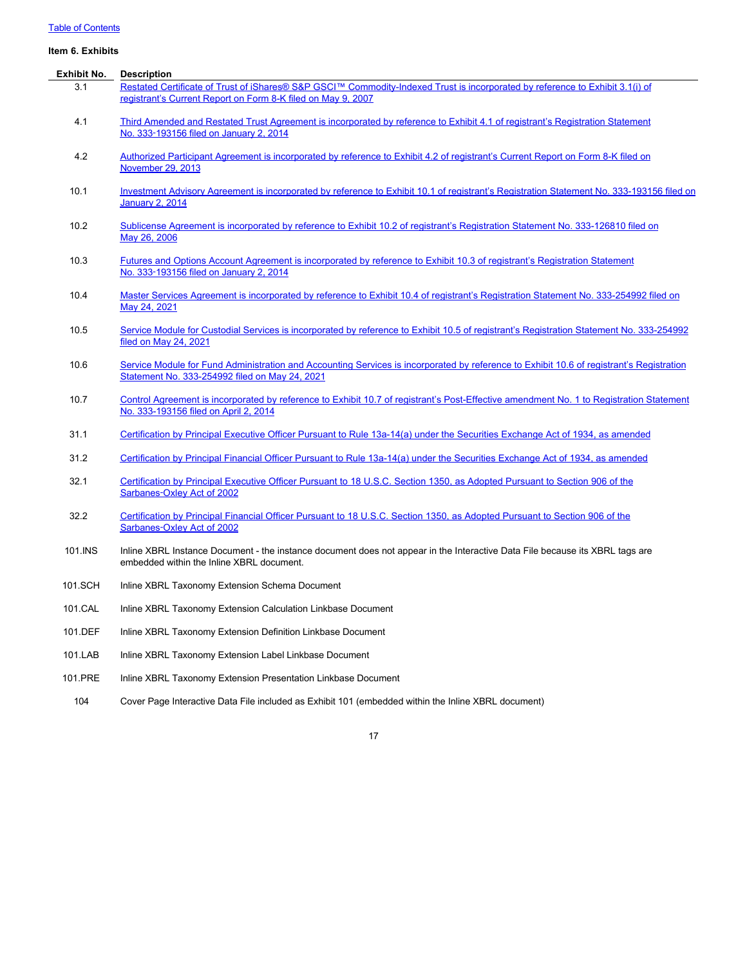# [Table of Contents](#page-1-0)

# <span id="page-18-0"></span>**Item 6. Exhibits**

| Exhibit No. | <b>Description</b>                                                                                                                                                                            |
|-------------|-----------------------------------------------------------------------------------------------------------------------------------------------------------------------------------------------|
| 3.1         | Restated Certificate of Trust of iShares® S&P GSCI™ Commodity-Indexed Trust is incorporated by reference to Exhibit 3.1(i) of<br>registrant's Current Report on Form 8-K filed on May 9, 2007 |
|             |                                                                                                                                                                                               |
| 4.1         | Third Amended and Restated Trust Agreement is incorporated by reference to Exhibit 4.1 of registrant's Registration Statement<br>No. 333-193156 filed on January 2, 2014                      |
| 4.2         | Authorized Participant Agreement is incorporated by reference to Exhibit 4.2 of registrant's Current Report on Form 8-K filed on                                                              |
|             | November 29, 2013                                                                                                                                                                             |
| 10.1        | Investment Advisory Agreement is incorporated by reference to Exhibit 10.1 of registrant's Registration Statement No. 333-193156 filed on<br><b>January 2, 2014</b>                           |
| 10.2        | Sublicense Agreement is incorporated by reference to Exhibit 10.2 of registrant's Registration Statement No. 333-126810 filed on<br>May 26, 2006                                              |
| 10.3        | Futures and Options Account Agreement is incorporated by reference to Exhibit 10.3 of registrant's Registration Statement<br>No. 333-193156 filed on January 2, 2014                          |
| 10.4        | Master Services Agreement is incorporated by reference to Exhibit 10.4 of registrant's Registration Statement No. 333-254992 filed on<br>May 24, 2021                                         |
| 10.5        | Service Module for Custodial Services is incorporated by reference to Exhibit 10.5 of registrant's Registration Statement No. 333-254992<br>filed on May 24, 2021                             |
| 10.6        | Service Module for Fund Administration and Accounting Services is incorporated by reference to Exhibit 10.6 of registrant's Registration<br>Statement No. 333-254992 filed on May 24, 2021    |
| 10.7        | Control Agreement is incorporated by reference to Exhibit 10.7 of registrant's Post-Effective amendment No. 1 to Registration Statement<br>No. 333-193156 filed on April 2, 2014              |
| 31.1        | Certification by Principal Executive Officer Pursuant to Rule 13a-14(a) under the Securities Exchange Act of 1934, as amended                                                                 |
| 31.2        | Certification by Principal Financial Officer Pursuant to Rule 13a-14(a) under the Securities Exchange Act of 1934, as amended                                                                 |
| 32.1        | Certification by Principal Executive Officer Pursuant to 18 U.S.C. Section 1350, as Adopted Pursuant to Section 906 of the<br>Sarbanes-Oxley Act of 2002                                      |
| 32.2        | Certification by Principal Financial Officer Pursuant to 18 U.S.C. Section 1350, as Adopted Pursuant to Section 906 of the<br>Sarbanes-Oxley Act of 2002                                      |
| 101.INS     | Inline XBRL Instance Document - the instance document does not appear in the Interactive Data File because its XBRL tags are<br>embedded within the Inline XBRL document.                     |
| 101.SCH     | Inline XBRL Taxonomy Extension Schema Document                                                                                                                                                |
| 101.CAL     | Inline XBRL Taxonomy Extension Calculation Linkbase Document                                                                                                                                  |
| 101.DEF     | Inline XBRL Taxonomy Extension Definition Linkbase Document                                                                                                                                   |
| 101.LAB     | Inline XBRL Taxonomy Extension Label Linkbase Document                                                                                                                                        |
| 101.PRE     | Inline XBRL Taxonomy Extension Presentation Linkbase Document                                                                                                                                 |

104 Cover Page Interactive Data File included as Exhibit 101 (embedded within the Inline XBRL document)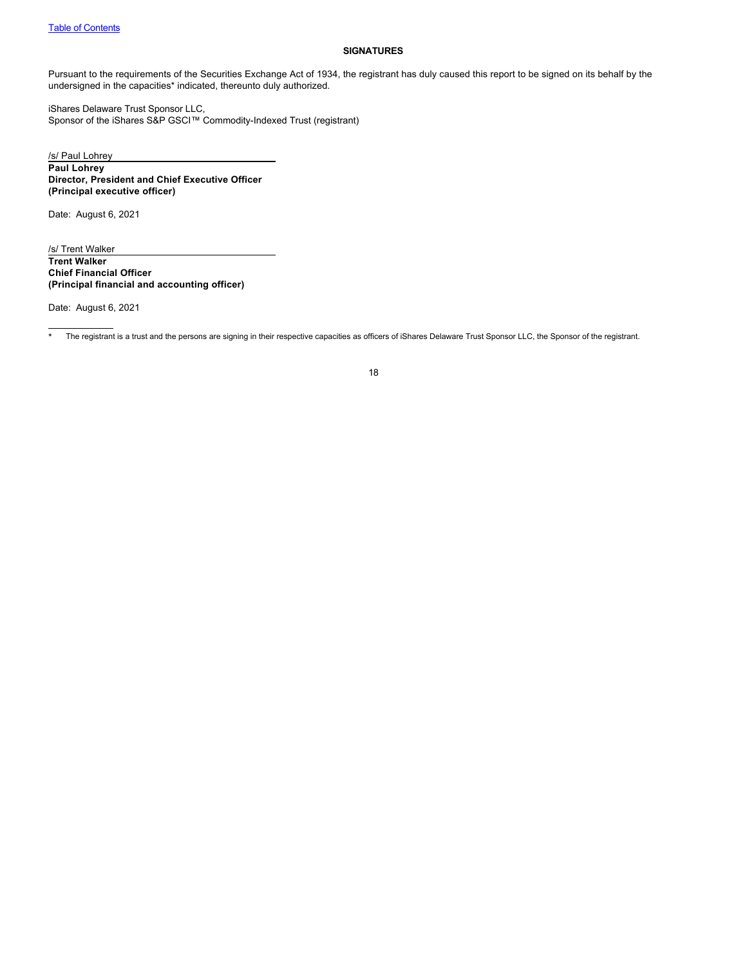# <span id="page-19-0"></span>**SIGNATURES**

Pursuant to the requirements of the Securities Exchange Act of 1934, the registrant has duly caused this report to be signed on its behalf by the undersigned in the capacities\* indicated, thereunto duly authorized.

iShares Delaware Trust Sponsor LLC, Sponsor of the iShares S&P GSCI™ Commodity-Indexed Trust (registrant)

/s/ Paul Lohrey **Paul Lohrey Director, President and Chief Executive Officer (Principal executive officer)**

Date: August 6, 2021

/s/ Trent Walker **Trent Walker Chief Financial Officer (Principal financial and accounting officer)**

Date: August 6, 2021

\* The registrant is a trust and the persons are signing in their respective capacities as officers of iShares Delaware Trust Sponsor LLC, the Sponsor of the registrant.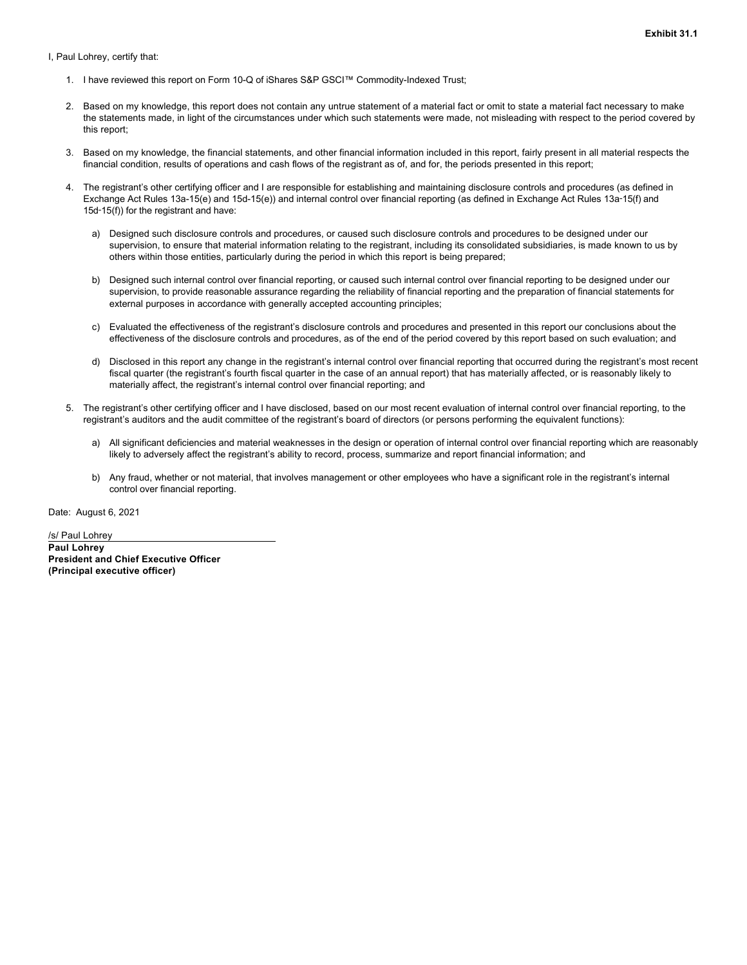**Exhibit 31.1**

<span id="page-20-0"></span>I, Paul Lohrey, certify that:

- 1. I have reviewed this report on Form 10-Q of iShares S&P GSCI™ Commodity-Indexed Trust;
- 2. Based on my knowledge, this report does not contain any untrue statement of a material fact or omit to state a material fact necessary to make the statements made, in light of the circumstances under which such statements were made, not misleading with respect to the period covered by this report;
- 3. Based on my knowledge, the financial statements, and other financial information included in this report, fairly present in all material respects the financial condition, results of operations and cash flows of the registrant as of, and for, the periods presented in this report;
- 4. The registrant's other certifying officer and I are responsible for establishing and maintaining disclosure controls and procedures (as defined in Exchange Act Rules 13a-15(e) and 15d-15(e)) and internal control over financial reporting (as defined in Exchange Act Rules 13a-15(f) and 15d‑15(f)) for the registrant and have:
	- a) Designed such disclosure controls and procedures, or caused such disclosure controls and procedures to be designed under our supervision, to ensure that material information relating to the registrant, including its consolidated subsidiaries, is made known to us by others within those entities, particularly during the period in which this report is being prepared;
	- b) Designed such internal control over financial reporting, or caused such internal control over financial reporting to be designed under our supervision, to provide reasonable assurance regarding the reliability of financial reporting and the preparation of financial statements for external purposes in accordance with generally accepted accounting principles;
	- c) Evaluated the effectiveness of the registrant's disclosure controls and procedures and presented in this report our conclusions about the effectiveness of the disclosure controls and procedures, as of the end of the period covered by this report based on such evaluation; and
	- d) Disclosed in this report any change in the registrant's internal control over financial reporting that occurred during the registrant's most recent fiscal quarter (the registrant's fourth fiscal quarter in the case of an annual report) that has materially affected, or is reasonably likely to materially affect, the registrant's internal control over financial reporting; and
- 5. The registrant's other certifying officer and I have disclosed, based on our most recent evaluation of internal control over financial reporting, to the registrant's auditors and the audit committee of the registrant's board of directors (or persons performing the equivalent functions):
	- a) All significant deficiencies and material weaknesses in the design or operation of internal control over financial reporting which are reasonably likely to adversely affect the registrant's ability to record, process, summarize and report financial information; and
	- b) Any fraud, whether or not material, that involves management or other employees who have a significant role in the registrant's internal control over financial reporting.

Date: August 6, 2021

/s/ Paul Lohrey **Paul Lohrey President and Chief Executive Officer (Principal executive officer)**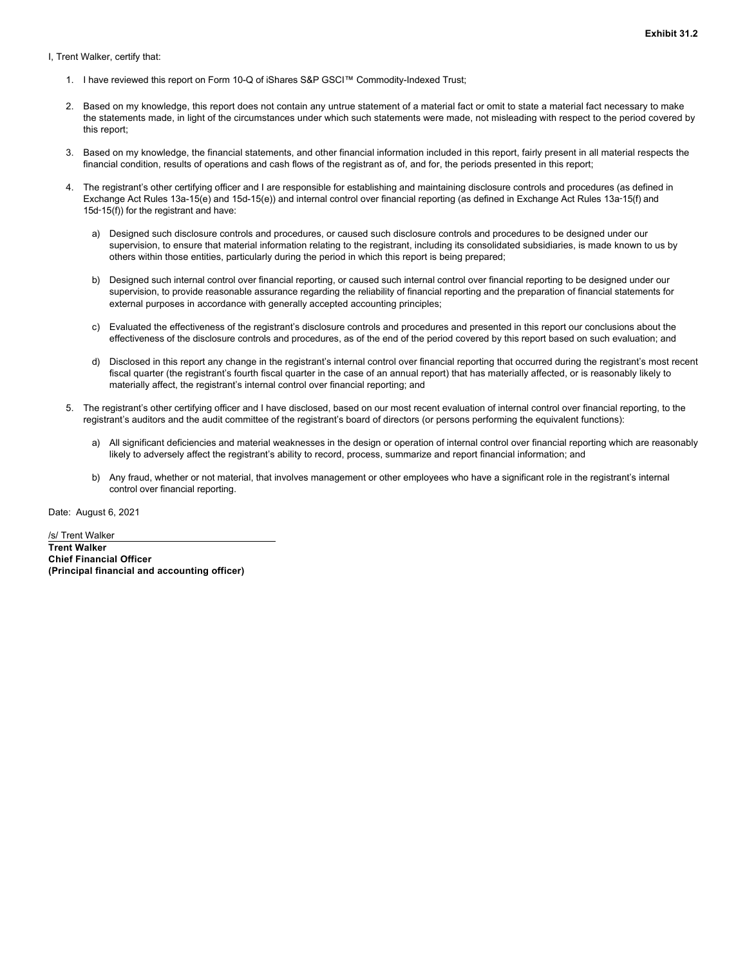<span id="page-21-0"></span>I, Trent Walker, certify that:

- 1. I have reviewed this report on Form 10-Q of iShares S&P GSCI™ Commodity-Indexed Trust;
- 2. Based on my knowledge, this report does not contain any untrue statement of a material fact or omit to state a material fact necessary to make the statements made, in light of the circumstances under which such statements were made, not misleading with respect to the period covered by this report;
- 3. Based on my knowledge, the financial statements, and other financial information included in this report, fairly present in all material respects the financial condition, results of operations and cash flows of the registrant as of, and for, the periods presented in this report;
- 4. The registrant's other certifying officer and I are responsible for establishing and maintaining disclosure controls and procedures (as defined in Exchange Act Rules 13a-15(e) and 15d-15(e)) and internal control over financial reporting (as defined in Exchange Act Rules 13a-15(f) and 15d‑15(f)) for the registrant and have:
	- a) Designed such disclosure controls and procedures, or caused such disclosure controls and procedures to be designed under our supervision, to ensure that material information relating to the registrant, including its consolidated subsidiaries, is made known to us by others within those entities, particularly during the period in which this report is being prepared;
	- b) Designed such internal control over financial reporting, or caused such internal control over financial reporting to be designed under our supervision, to provide reasonable assurance regarding the reliability of financial reporting and the preparation of financial statements for external purposes in accordance with generally accepted accounting principles;
	- c) Evaluated the effectiveness of the registrant's disclosure controls and procedures and presented in this report our conclusions about the effectiveness of the disclosure controls and procedures, as of the end of the period covered by this report based on such evaluation; and
	- d) Disclosed in this report any change in the registrant's internal control over financial reporting that occurred during the registrant's most recent fiscal quarter (the registrant's fourth fiscal quarter in the case of an annual report) that has materially affected, or is reasonably likely to materially affect, the registrant's internal control over financial reporting; and
- 5. The registrant's other certifying officer and I have disclosed, based on our most recent evaluation of internal control over financial reporting, to the registrant's auditors and the audit committee of the registrant's board of directors (or persons performing the equivalent functions):
	- a) All significant deficiencies and material weaknesses in the design or operation of internal control over financial reporting which are reasonably likely to adversely affect the registrant's ability to record, process, summarize and report financial information; and
	- b) Any fraud, whether or not material, that involves management or other employees who have a significant role in the registrant's internal control over financial reporting.

Date: August 6, 2021

/s/ Trent Walker **Trent Walker Chief Financial Officer (Principal financial and accounting officer)**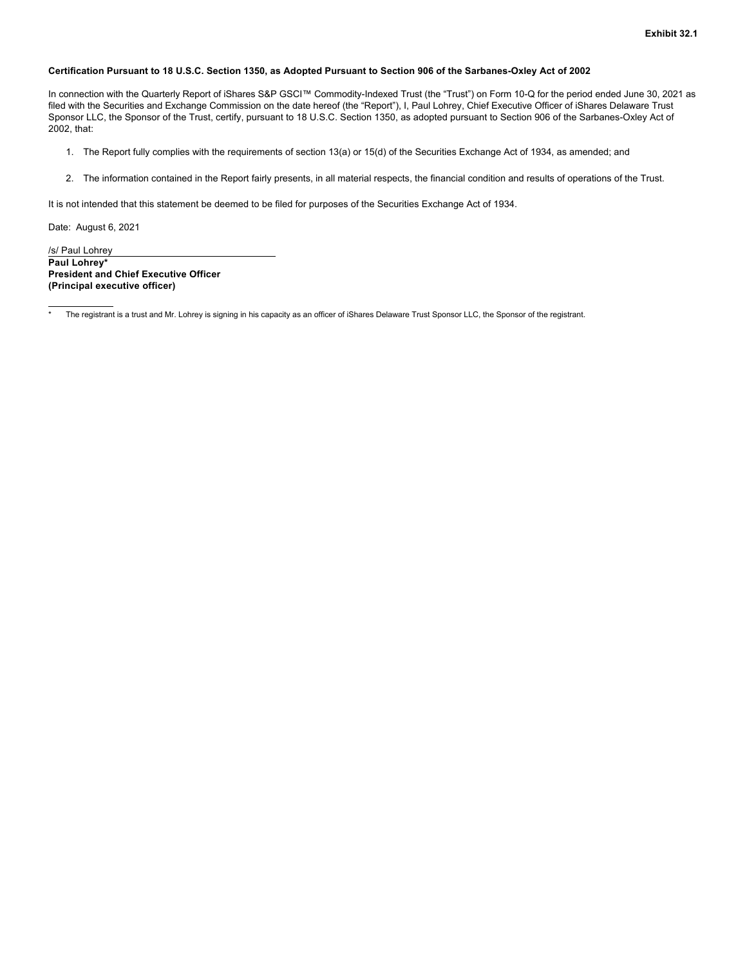# <span id="page-22-0"></span>**Certification Pursuant to 18 U.S.C. Section 1350, as Adopted Pursuant to Section 906 of the Sarbanes-Oxley Act of 2002**

In connection with the Quarterly Report of iShares S&P GSCI™ Commodity-Indexed Trust (the "Trust") on Form 10-Q for the period ended June 30, 2021 as filed with the Securities and Exchange Commission on the date hereof (the "Report"), I, Paul Lohrey, Chief Executive Officer of iShares Delaware Trust Sponsor LLC, the Sponsor of the Trust, certify, pursuant to 18 U.S.C. Section 1350, as adopted pursuant to Section 906 of the Sarbanes-Oxley Act of 2002, that:

- 1. The Report fully complies with the requirements of section 13(a) or 15(d) of the Securities Exchange Act of 1934, as amended; and
- 2. The information contained in the Report fairly presents, in all material respects, the financial condition and results of operations of the Trust.

It is not intended that this statement be deemed to be filed for purposes of the Securities Exchange Act of 1934.

Date: August 6, 2021

/s/ Paul Lohrey **Paul Lohrey\* President and Chief Executive Officer (Principal executive officer)**

The registrant is a trust and Mr. Lohrey is signing in his capacity as an officer of iShares Delaware Trust Sponsor LLC, the Sponsor of the registrant.